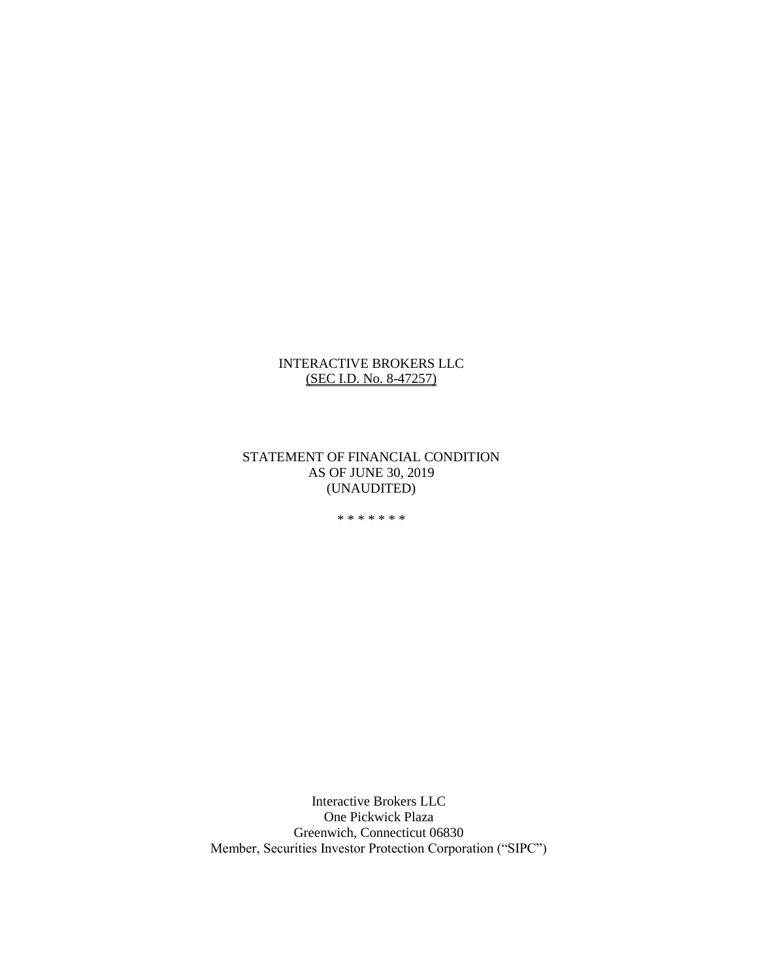#### INTERACTIVE BROKERS LLC (SEC I.D. No. 8-47257)

STATEMENT OF FINANCIAL CONDITION AS OF JUNE 30, 2019 (UNAUDITED)

\* \* \* \* \* \* \*

Interactive Brokers LLC One Pickwick Plaza Greenwich, Connecticut 06830 Member, Securities Investor Protection Corporation ("SIPC")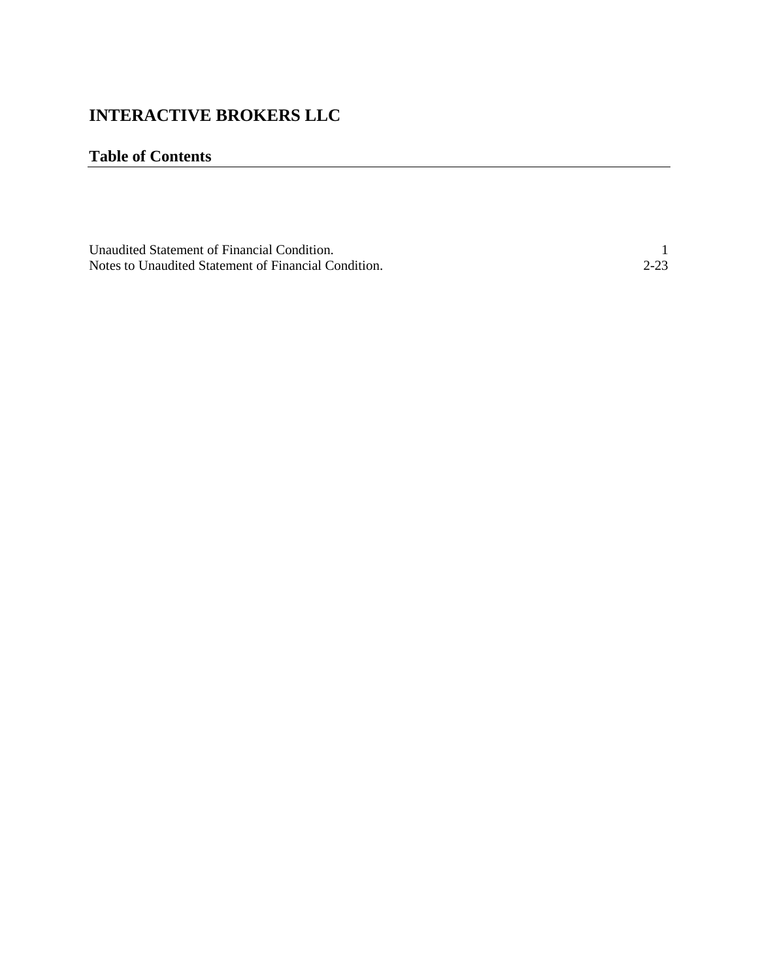# **INTERACTIVE BROKERS LLC**

## **Table of Contents**

| Unaudited Statement of Financial Condition.          |          |
|------------------------------------------------------|----------|
| Notes to Unaudited Statement of Financial Condition. | $2 - 23$ |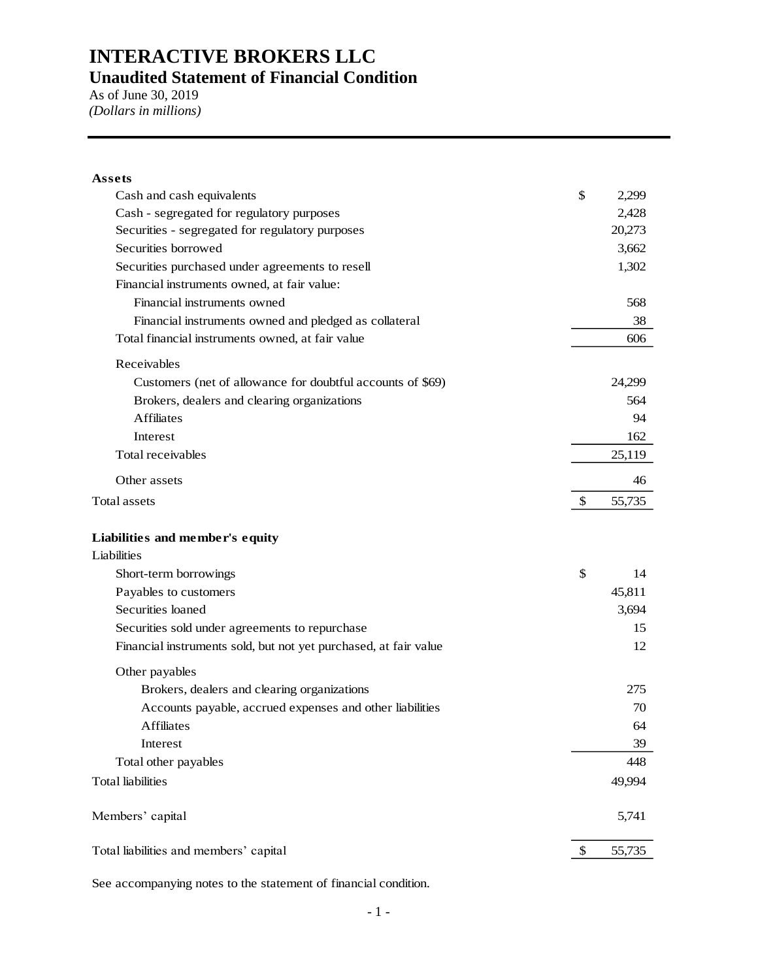As of June 30, 2019 *(Dollars in millions)*

| Assets                                                           |              |
|------------------------------------------------------------------|--------------|
| Cash and cash equivalents                                        | \$<br>2,299  |
| Cash - segregated for regulatory purposes                        | 2,428        |
| Securities - segregated for regulatory purposes                  | 20,273       |
| Securities borrowed                                              | 3,662        |
| Securities purchased under agreements to resell                  | 1,302        |
| Financial instruments owned, at fair value:                      |              |
| Financial instruments owned                                      | 568          |
| Financial instruments owned and pledged as collateral            | 38           |
| Total financial instruments owned, at fair value                 | 606          |
| Receivables                                                      |              |
| Customers (net of allowance for doubtful accounts of \$69)       | 24,299       |
| Brokers, dealers and clearing organizations                      | 564          |
| <b>Affiliates</b>                                                | 94           |
| Interest                                                         | 162          |
| Total receivables                                                | 25,119       |
| Other assets                                                     | 46           |
| Total assets                                                     | \$<br>55,735 |
| Liabilities and member's equity                                  |              |
| Liabilities                                                      |              |
| Short-term borrowings                                            | \$<br>14     |
| Payables to customers                                            | 45,811       |
| Securities loaned                                                | 3,694        |
| Securities sold under agreements to repurchase                   | 15           |
| Financial instruments sold, but not yet purchased, at fair value | 12           |
| Other payables                                                   |              |
| Brokers, dealers and clearing organizations                      | 275          |
| Accounts payable, accrued expenses and other liabilities         | 70           |
| <b>Affiliates</b>                                                | 64           |
| Interest                                                         | 39           |
| Total other payables                                             | 448          |
| Total liabilities                                                | 49,994       |
| Members' capital                                                 | 5,741        |
| Total liabilities and members' capital                           | \$<br>55,735 |

See accompanying notes to the statement of financial condition.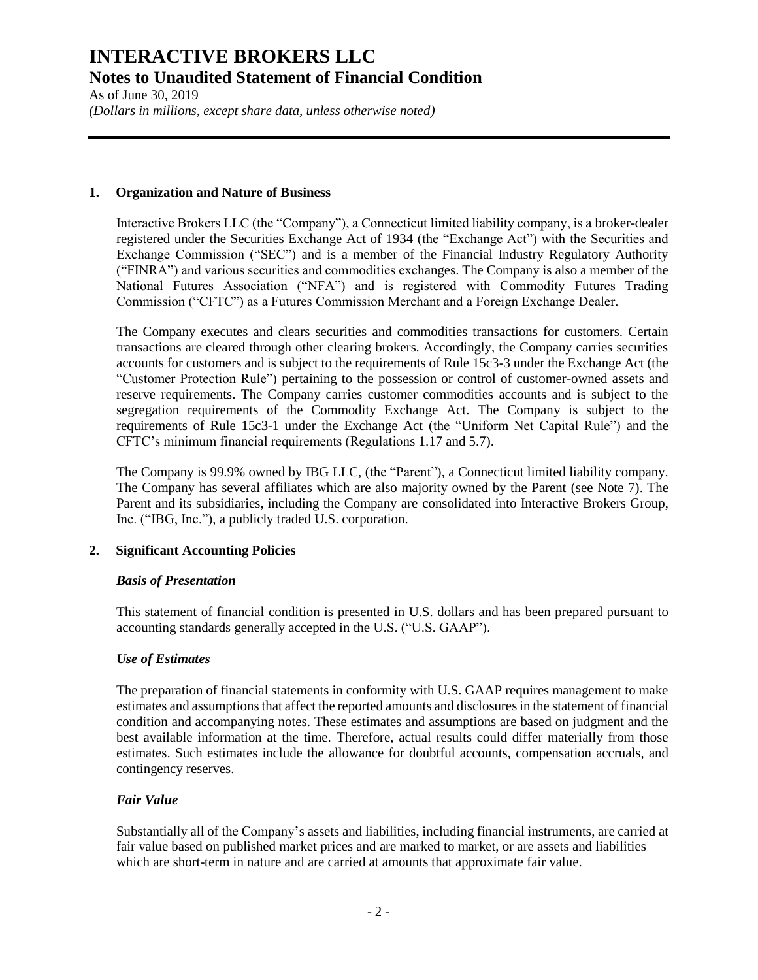As of June 30, 2019 *(Dollars in millions, except share data, unless otherwise noted)*

#### **1. Organization and Nature of Business**

Interactive Brokers LLC (the "Company"), a Connecticut limited liability company, is a broker-dealer registered under the Securities Exchange Act of 1934 (the "Exchange Act") with the Securities and Exchange Commission ("SEC") and is a member of the Financial Industry Regulatory Authority ("FINRA") and various securities and commodities exchanges. The Company is also a member of the National Futures Association ("NFA") and is registered with Commodity Futures Trading Commission ("CFTC") as a Futures Commission Merchant and a Foreign Exchange Dealer.

The Company executes and clears securities and commodities transactions for customers. Certain transactions are cleared through other clearing brokers. Accordingly, the Company carries securities accounts for customers and is subject to the requirements of Rule 15c3-3 under the Exchange Act (the "Customer Protection Rule") pertaining to the possession or control of customer-owned assets and reserve requirements. The Company carries customer commodities accounts and is subject to the segregation requirements of the Commodity Exchange Act. The Company is subject to the requirements of Rule 15c3-1 under the Exchange Act (the "Uniform Net Capital Rule") and the CFTC's minimum financial requirements (Regulations 1.17 and 5.7).

The Company is 99.9% owned by IBG LLC, (the "Parent"), a Connecticut limited liability company. The Company has several affiliates which are also majority owned by the Parent (see Note 7). The Parent and its subsidiaries, including the Company are consolidated into Interactive Brokers Group, Inc. ("IBG, Inc."), a publicly traded U.S. corporation.

## **2. Significant Accounting Policies**

## *Basis of Presentation*

This statement of financial condition is presented in U.S. dollars and has been prepared pursuant to accounting standards generally accepted in the U.S. ("U.S. GAAP").

## *Use of Estimates*

The preparation of financial statements in conformity with U.S. GAAP requires management to make estimates and assumptions that affect the reported amounts and disclosures in the statement of financial condition and accompanying notes. These estimates and assumptions are based on judgment and the best available information at the time. Therefore, actual results could differ materially from those estimates. Such estimates include the allowance for doubtful accounts, compensation accruals, and contingency reserves.

## *Fair Value*

Substantially all of the Company's assets and liabilities, including financial instruments, are carried at fair value based on published market prices and are marked to market, or are assets and liabilities which are short-term in nature and are carried at amounts that approximate fair value.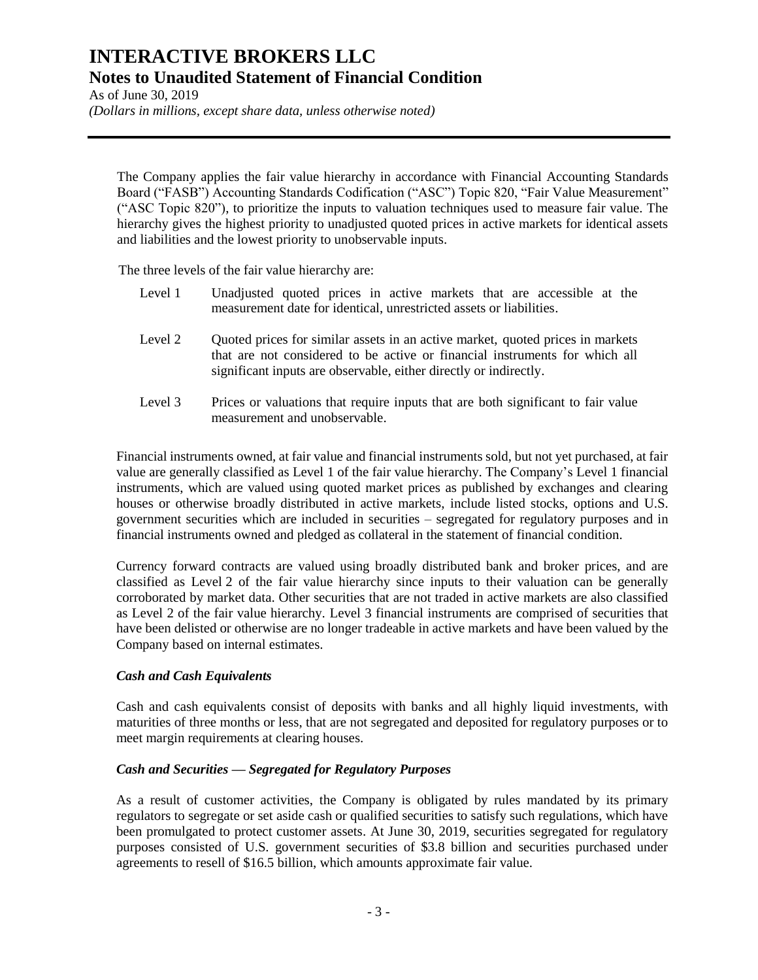As of June 30, 2019

*(Dollars in millions, except share data, unless otherwise noted)*

The Company applies the fair value hierarchy in accordance with Financial Accounting Standards Board ("FASB") Accounting Standards Codification ("ASC") Topic 820, "Fair Value Measurement" ("ASC Topic 820"), to prioritize the inputs to valuation techniques used to measure fair value. The hierarchy gives the highest priority to unadjusted quoted prices in active markets for identical assets and liabilities and the lowest priority to unobservable inputs.

The three levels of the fair value hierarchy are:

- Level 1 Unadjusted quoted prices in active markets that are accessible at the measurement date for identical, unrestricted assets or liabilities.
- Level 2 Quoted prices for similar assets in an active market, quoted prices in markets that are not considered to be active or financial instruments for which all significant inputs are observable, either directly or indirectly.
- Level 3 Prices or valuations that require inputs that are both significant to fair value measurement and unobservable.

Financial instruments owned, at fair value and financial instruments sold, but not yet purchased, at fair value are generally classified as Level 1 of the fair value hierarchy. The Company's Level 1 financial instruments, which are valued using quoted market prices as published by exchanges and clearing houses or otherwise broadly distributed in active markets, include listed stocks, options and U.S. government securities which are included in securities – segregated for regulatory purposes and in financial instruments owned and pledged as collateral in the statement of financial condition.

Currency forward contracts are valued using broadly distributed bank and broker prices, and are classified as Level 2 of the fair value hierarchy since inputs to their valuation can be generally corroborated by market data. Other securities that are not traded in active markets are also classified as Level 2 of the fair value hierarchy. Level 3 financial instruments are comprised of securities that have been delisted or otherwise are no longer tradeable in active markets and have been valued by the Company based on internal estimates.

## *Cash and Cash Equivalents*

Cash and cash equivalents consist of deposits with banks and all highly liquid investments, with maturities of three months or less, that are not segregated and deposited for regulatory purposes or to meet margin requirements at clearing houses.

## *Cash and Securities — Segregated for Regulatory Purposes*

As a result of customer activities, the Company is obligated by rules mandated by its primary regulators to segregate or set aside cash or qualified securities to satisfy such regulations, which have been promulgated to protect customer assets. At June 30, 2019, securities segregated for regulatory purposes consisted of U.S. government securities of \$3.8 billion and securities purchased under agreements to resell of \$16.5 billion, which amounts approximate fair value.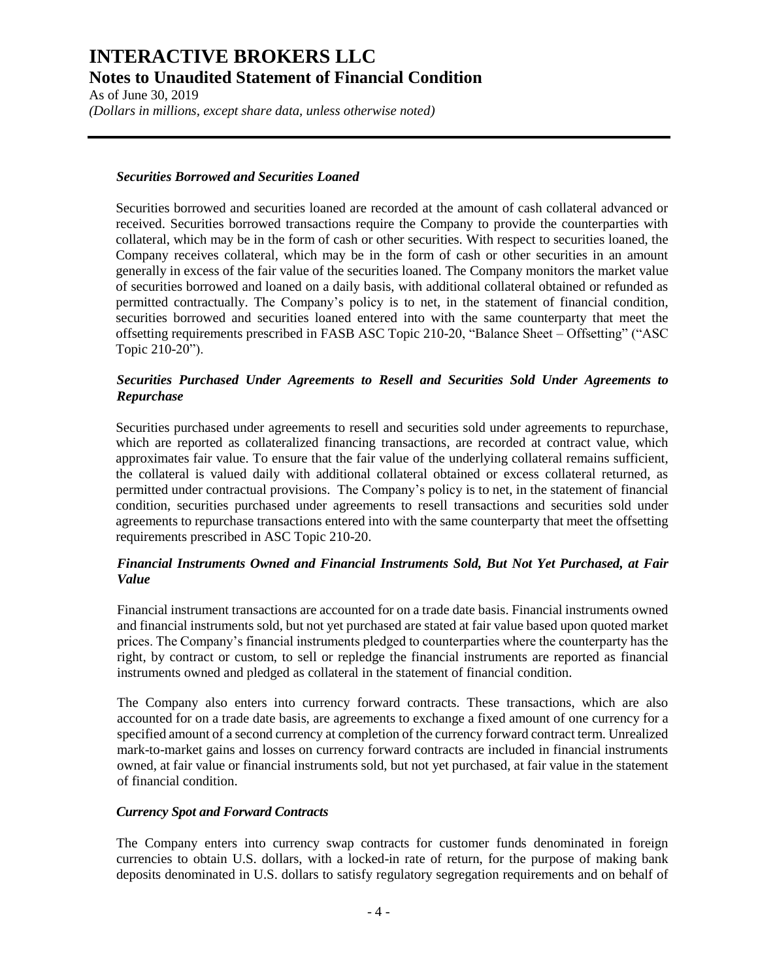As of June 30, 2019 *(Dollars in millions, except share data, unless otherwise noted)*

### *Securities Borrowed and Securities Loaned*

Securities borrowed and securities loaned are recorded at the amount of cash collateral advanced or received. Securities borrowed transactions require the Company to provide the counterparties with collateral, which may be in the form of cash or other securities. With respect to securities loaned, the Company receives collateral, which may be in the form of cash or other securities in an amount generally in excess of the fair value of the securities loaned. The Company monitors the market value of securities borrowed and loaned on a daily basis, with additional collateral obtained or refunded as permitted contractually. The Company's policy is to net, in the statement of financial condition, securities borrowed and securities loaned entered into with the same counterparty that meet the offsetting requirements prescribed in FASB ASC Topic 210-20, "Balance Sheet – Offsetting" ("ASC Topic 210-20").

### *Securities Purchased Under Agreements to Resell and Securities Sold Under Agreements to Repurchase*

Securities purchased under agreements to resell and securities sold under agreements to repurchase, which are reported as collateralized financing transactions, are recorded at contract value, which approximates fair value. To ensure that the fair value of the underlying collateral remains sufficient, the collateral is valued daily with additional collateral obtained or excess collateral returned, as permitted under contractual provisions. The Company's policy is to net, in the statement of financial condition, securities purchased under agreements to resell transactions and securities sold under agreements to repurchase transactions entered into with the same counterparty that meet the offsetting requirements prescribed in ASC Topic 210-20.

### *Financial Instruments Owned and Financial Instruments Sold, But Not Yet Purchased, at Fair Value*

Financial instrument transactions are accounted for on a trade date basis. Financial instruments owned and financial instruments sold, but not yet purchased are stated at fair value based upon quoted market prices. The Company's financial instruments pledged to counterparties where the counterparty has the right, by contract or custom, to sell or repledge the financial instruments are reported as financial instruments owned and pledged as collateral in the statement of financial condition.

The Company also enters into currency forward contracts. These transactions, which are also accounted for on a trade date basis, are agreements to exchange a fixed amount of one currency for a specified amount of a second currency at completion of the currency forward contract term. Unrealized mark-to-market gains and losses on currency forward contracts are included in financial instruments owned, at fair value or financial instruments sold, but not yet purchased, at fair value in the statement of financial condition.

#### *Currency Spot and Forward Contracts*

The Company enters into currency swap contracts for customer funds denominated in foreign currencies to obtain U.S. dollars, with a locked-in rate of return, for the purpose of making bank deposits denominated in U.S. dollars to satisfy regulatory segregation requirements and on behalf of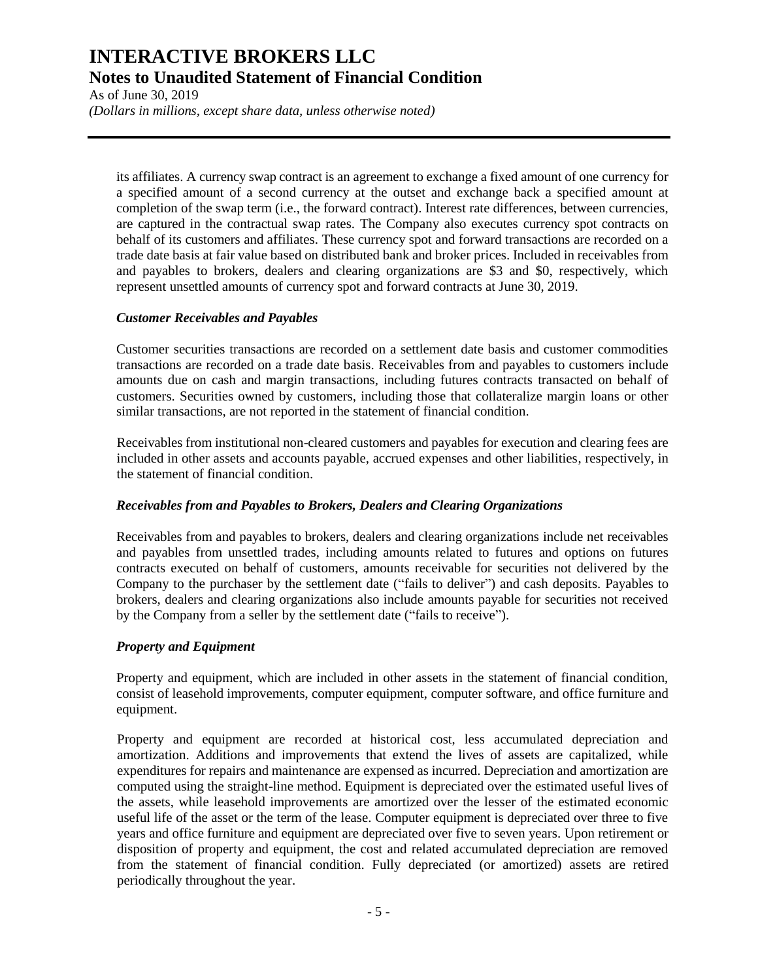As of June 30, 2019 *(Dollars in millions, except share data, unless otherwise noted)*

its affiliates. A currency swap contract is an agreement to exchange a fixed amount of one currency for a specified amount of a second currency at the outset and exchange back a specified amount at completion of the swap term (i.e., the forward contract). Interest rate differences, between currencies, are captured in the contractual swap rates. The Company also executes currency spot contracts on behalf of its customers and affiliates. These currency spot and forward transactions are recorded on a trade date basis at fair value based on distributed bank and broker prices. Included in receivables from and payables to brokers, dealers and clearing organizations are \$3 and \$0, respectively, which represent unsettled amounts of currency spot and forward contracts at June 30, 2019.

#### *Customer Receivables and Payables*

Customer securities transactions are recorded on a settlement date basis and customer commodities transactions are recorded on a trade date basis. Receivables from and payables to customers include amounts due on cash and margin transactions, including futures contracts transacted on behalf of customers. Securities owned by customers, including those that collateralize margin loans or other similar transactions, are not reported in the statement of financial condition.

Receivables from institutional non-cleared customers and payables for execution and clearing fees are included in other assets and accounts payable, accrued expenses and other liabilities, respectively, in the statement of financial condition.

#### *Receivables from and Payables to Brokers, Dealers and Clearing Organizations*

Receivables from and payables to brokers, dealers and clearing organizations include net receivables and payables from unsettled trades, including amounts related to futures and options on futures contracts executed on behalf of customers, amounts receivable for securities not delivered by the Company to the purchaser by the settlement date ("fails to deliver") and cash deposits. Payables to brokers, dealers and clearing organizations also include amounts payable for securities not received by the Company from a seller by the settlement date ("fails to receive").

#### *Property and Equipment*

Property and equipment, which are included in other assets in the statement of financial condition, consist of leasehold improvements, computer equipment, computer software, and office furniture and equipment.

Property and equipment are recorded at historical cost, less accumulated depreciation and amortization. Additions and improvements that extend the lives of assets are capitalized, while expenditures for repairs and maintenance are expensed as incurred. Depreciation and amortization are computed using the straight-line method. Equipment is depreciated over the estimated useful lives of the assets, while leasehold improvements are amortized over the lesser of the estimated economic useful life of the asset or the term of the lease. Computer equipment is depreciated over three to five years and office furniture and equipment are depreciated over five to seven years. Upon retirement or disposition of property and equipment, the cost and related accumulated depreciation are removed from the statement of financial condition. Fully depreciated (or amortized) assets are retired periodically throughout the year.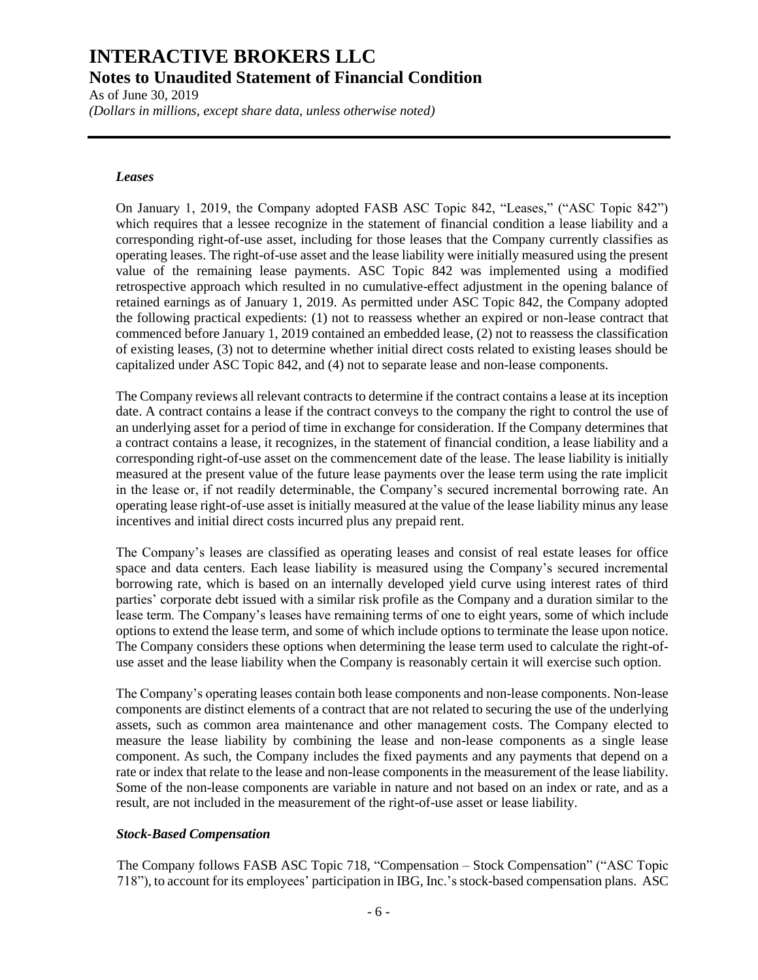As of June 30, 2019

*(Dollars in millions, except share data, unless otherwise noted)*

#### *Leases*

On January 1, 2019, the Company adopted FASB ASC Topic 842, "Leases," ("ASC Topic 842") which requires that a lessee recognize in the statement of financial condition a lease liability and a corresponding right-of-use asset, including for those leases that the Company currently classifies as operating leases. The right-of-use asset and the lease liability were initially measured using the present value of the remaining lease payments. ASC Topic 842 was implemented using a modified retrospective approach which resulted in no cumulative-effect adjustment in the opening balance of retained earnings as of January 1, 2019. As permitted under ASC Topic 842, the Company adopted the following practical expedients: (1) not to reassess whether an expired or non-lease contract that commenced before January 1, 2019 contained an embedded lease, (2) not to reassess the classification of existing leases, (3) not to determine whether initial direct costs related to existing leases should be capitalized under ASC Topic 842, and (4) not to separate lease and non-lease components.

The Company reviews all relevant contracts to determine if the contract contains a lease at its inception date. A contract contains a lease if the contract conveys to the company the right to control the use of an underlying asset for a period of time in exchange for consideration. If the Company determines that a contract contains a lease, it recognizes, in the statement of financial condition, a lease liability and a corresponding right-of-use asset on the commencement date of the lease. The lease liability is initially measured at the present value of the future lease payments over the lease term using the rate implicit in the lease or, if not readily determinable, the Company's secured incremental borrowing rate. An operating lease right-of-use asset is initially measured at the value of the lease liability minus any lease incentives and initial direct costs incurred plus any prepaid rent.

The Company's leases are classified as operating leases and consist of real estate leases for office space and data centers. Each lease liability is measured using the Company's secured incremental borrowing rate, which is based on an internally developed yield curve using interest rates of third parties' corporate debt issued with a similar risk profile as the Company and a duration similar to the lease term. The Company's leases have remaining terms of one to eight years, some of which include options to extend the lease term, and some of which include options to terminate the lease upon notice. The Company considers these options when determining the lease term used to calculate the right-ofuse asset and the lease liability when the Company is reasonably certain it will exercise such option.

The Company's operating leases contain both lease components and non-lease components. Non-lease components are distinct elements of a contract that are not related to securing the use of the underlying assets, such as common area maintenance and other management costs. The Company elected to measure the lease liability by combining the lease and non-lease components as a single lease component. As such, the Company includes the fixed payments and any payments that depend on a rate or index that relate to the lease and non-lease components in the measurement of the lease liability. Some of the non-lease components are variable in nature and not based on an index or rate, and as a result, are not included in the measurement of the right-of-use asset or lease liability.

#### *Stock-Based Compensation*

The Company follows FASB ASC Topic 718, "Compensation – Stock Compensation" ("ASC Topic 718"), to account for its employees' participation in IBG, Inc.'s stock-based compensation plans. ASC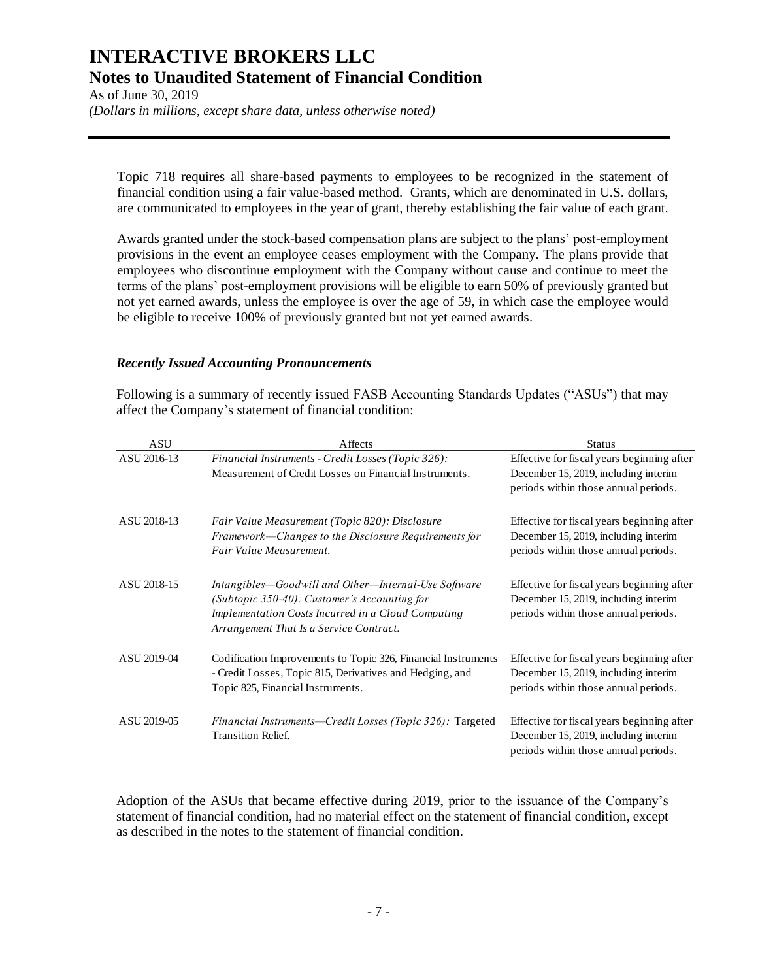As of June 30, 2019 *(Dollars in millions, except share data, unless otherwise noted)*

Topic 718 requires all share-based payments to employees to be recognized in the statement of financial condition using a fair value-based method. Grants, which are denominated in U.S. dollars, are communicated to employees in the year of grant, thereby establishing the fair value of each grant.

Awards granted under the stock-based compensation plans are subject to the plans' post-employment provisions in the event an employee ceases employment with the Company. The plans provide that employees who discontinue employment with the Company without cause and continue to meet the terms of the plans' post-employment provisions will be eligible to earn 50% of previously granted but not yet earned awards, unless the employee is over the age of 59, in which case the employee would be eligible to receive 100% of previously granted but not yet earned awards.

### *Recently Issued Accounting Pronouncements*

Following is a summary of recently issued FASB Accounting Standards Updates ("ASUs") that may affect the Company's statement of financial condition:

| ASU         | Affects                                                                                                                                                                                               | <b>Status</b>                                                                                                              |
|-------------|-------------------------------------------------------------------------------------------------------------------------------------------------------------------------------------------------------|----------------------------------------------------------------------------------------------------------------------------|
| ASU 2016-13 | Financial Instruments - Credit Losses (Topic 326):<br>Measurement of Credit Losses on Financial Instruments.                                                                                          | Effective for fiscal years beginning after<br>December 15, 2019, including interim<br>periods within those annual periods. |
| ASU 2018-13 | Fair Value Measurement (Topic 820): Disclosure<br>Framework-Changes to the Disclosure Requirements for<br>Fair Value Measurement.                                                                     | Effective for fiscal years beginning after<br>December 15, 2019, including interim<br>periods within those annual periods. |
| ASU 2018-15 | Intangibles—Goodwill and Other—Internal-Use Software<br>(Subtopic 350-40): Customer's Accounting for<br>Implementation Costs Incurred in a Cloud Computing<br>Arrangement That Is a Service Contract. | Effective for fiscal years beginning after<br>December 15, 2019, including interim<br>periods within those annual periods. |
| ASU 2019-04 | Codification Improvements to Topic 326, Financial Instruments<br>- Credit Losses, Topic 815, Derivatives and Hedging, and<br>Topic 825, Financial Instruments.                                        | Effective for fiscal years beginning after<br>December 15, 2019, including interim<br>periods within those annual periods. |
| ASU 2019-05 | Financial Instruments—Credit Losses (Topic 326): Targeted<br><b>Transition Relief.</b>                                                                                                                | Effective for fiscal years beginning after<br>December 15, 2019, including interim<br>periods within those annual periods. |

Adoption of the ASUs that became effective during 2019, prior to the issuance of the Company's statement of financial condition, had no material effect on the statement of financial condition, except as described in the notes to the statement of financial condition.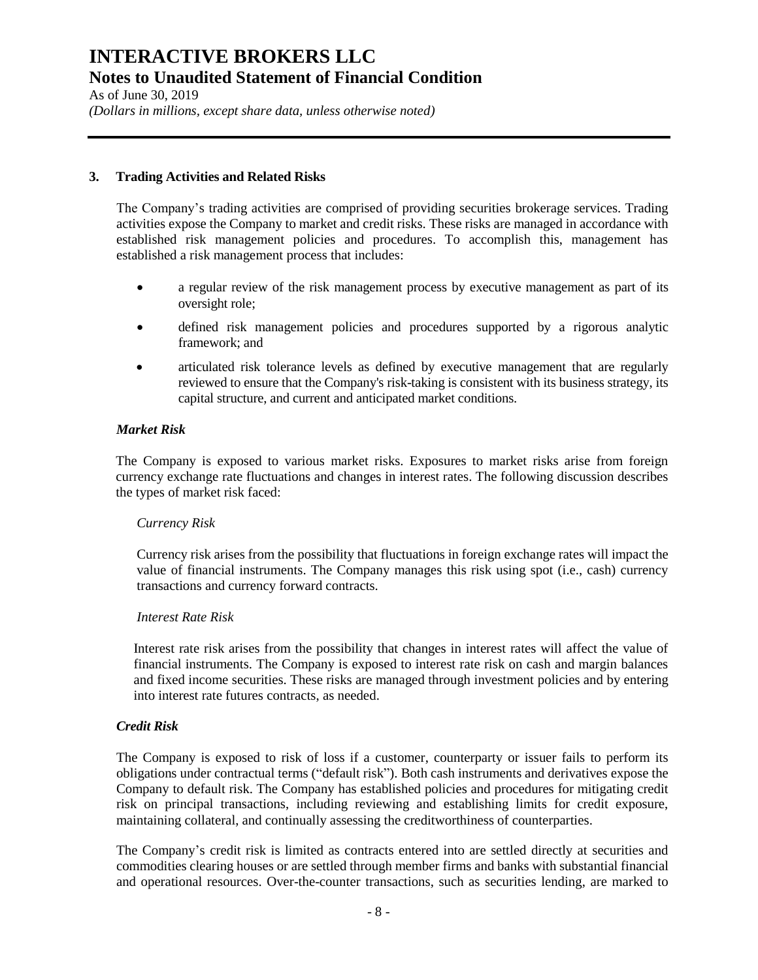As of June 30, 2019 *(Dollars in millions, except share data, unless otherwise noted)*

### **3. Trading Activities and Related Risks**

The Company's trading activities are comprised of providing securities brokerage services. Trading activities expose the Company to market and credit risks. These risks are managed in accordance with established risk management policies and procedures. To accomplish this, management has established a risk management process that includes:

- a regular review of the risk management process by executive management as part of its oversight role;
- defined risk management policies and procedures supported by a rigorous analytic framework; and
- articulated risk tolerance levels as defined by executive management that are regularly reviewed to ensure that the Company's risk-taking is consistent with its business strategy, its capital structure, and current and anticipated market conditions.

### *Market Risk*

The Company is exposed to various market risks. Exposures to market risks arise from foreign currency exchange rate fluctuations and changes in interest rates. The following discussion describes the types of market risk faced:

#### *Currency Risk*

Currency risk arises from the possibility that fluctuations in foreign exchange rates will impact the value of financial instruments. The Company manages this risk using spot (i.e., cash) currency transactions and currency forward contracts.

#### *Interest Rate Risk*

Interest rate risk arises from the possibility that changes in interest rates will affect the value of financial instruments. The Company is exposed to interest rate risk on cash and margin balances and fixed income securities. These risks are managed through investment policies and by entering into interest rate futures contracts, as needed.

#### *Credit Risk*

The Company is exposed to risk of loss if a customer, counterparty or issuer fails to perform its obligations under contractual terms ("default risk"). Both cash instruments and derivatives expose the Company to default risk. The Company has established policies and procedures for mitigating credit risk on principal transactions, including reviewing and establishing limits for credit exposure, maintaining collateral, and continually assessing the creditworthiness of counterparties.

The Company's credit risk is limited as contracts entered into are settled directly at securities and commodities clearing houses or are settled through member firms and banks with substantial financial and operational resources. Over-the-counter transactions, such as securities lending, are marked to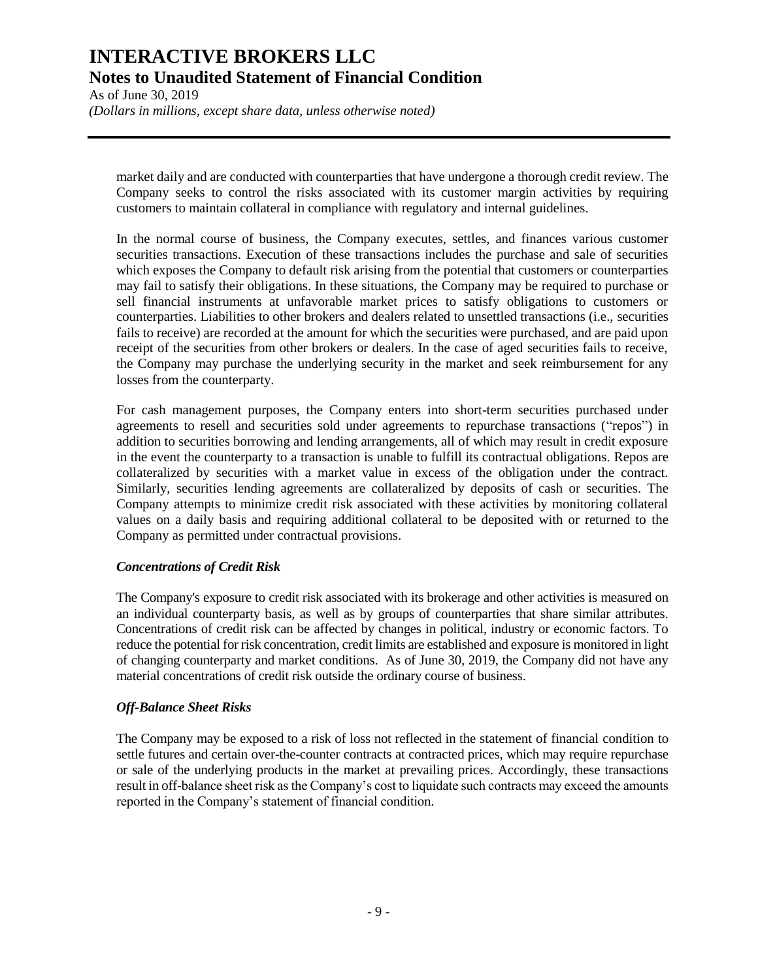As of June 30, 2019 *(Dollars in millions, except share data, unless otherwise noted)*

market daily and are conducted with counterparties that have undergone a thorough credit review. The Company seeks to control the risks associated with its customer margin activities by requiring customers to maintain collateral in compliance with regulatory and internal guidelines.

In the normal course of business, the Company executes, settles, and finances various customer securities transactions. Execution of these transactions includes the purchase and sale of securities which exposes the Company to default risk arising from the potential that customers or counterparties may fail to satisfy their obligations. In these situations, the Company may be required to purchase or sell financial instruments at unfavorable market prices to satisfy obligations to customers or counterparties. Liabilities to other brokers and dealers related to unsettled transactions (i.e., securities fails to receive) are recorded at the amount for which the securities were purchased, and are paid upon receipt of the securities from other brokers or dealers. In the case of aged securities fails to receive, the Company may purchase the underlying security in the market and seek reimbursement for any losses from the counterparty.

For cash management purposes, the Company enters into short-term securities purchased under agreements to resell and securities sold under agreements to repurchase transactions ("repos") in addition to securities borrowing and lending arrangements, all of which may result in credit exposure in the event the counterparty to a transaction is unable to fulfill its contractual obligations. Repos are collateralized by securities with a market value in excess of the obligation under the contract. Similarly, securities lending agreements are collateralized by deposits of cash or securities. The Company attempts to minimize credit risk associated with these activities by monitoring collateral values on a daily basis and requiring additional collateral to be deposited with or returned to the Company as permitted under contractual provisions.

#### *Concentrations of Credit Risk*

The Company's exposure to credit risk associated with its brokerage and other activities is measured on an individual counterparty basis, as well as by groups of counterparties that share similar attributes. Concentrations of credit risk can be affected by changes in political, industry or economic factors. To reduce the potential for risk concentration, credit limits are established and exposure is monitored in light of changing counterparty and market conditions. As of June 30, 2019, the Company did not have any material concentrations of credit risk outside the ordinary course of business.

#### *Off-Balance Sheet Risks*

The Company may be exposed to a risk of loss not reflected in the statement of financial condition to settle futures and certain over-the-counter contracts at contracted prices, which may require repurchase or sale of the underlying products in the market at prevailing prices. Accordingly, these transactions result in off-balance sheet risk as the Company's cost to liquidate such contracts may exceed the amounts reported in the Company's statement of financial condition.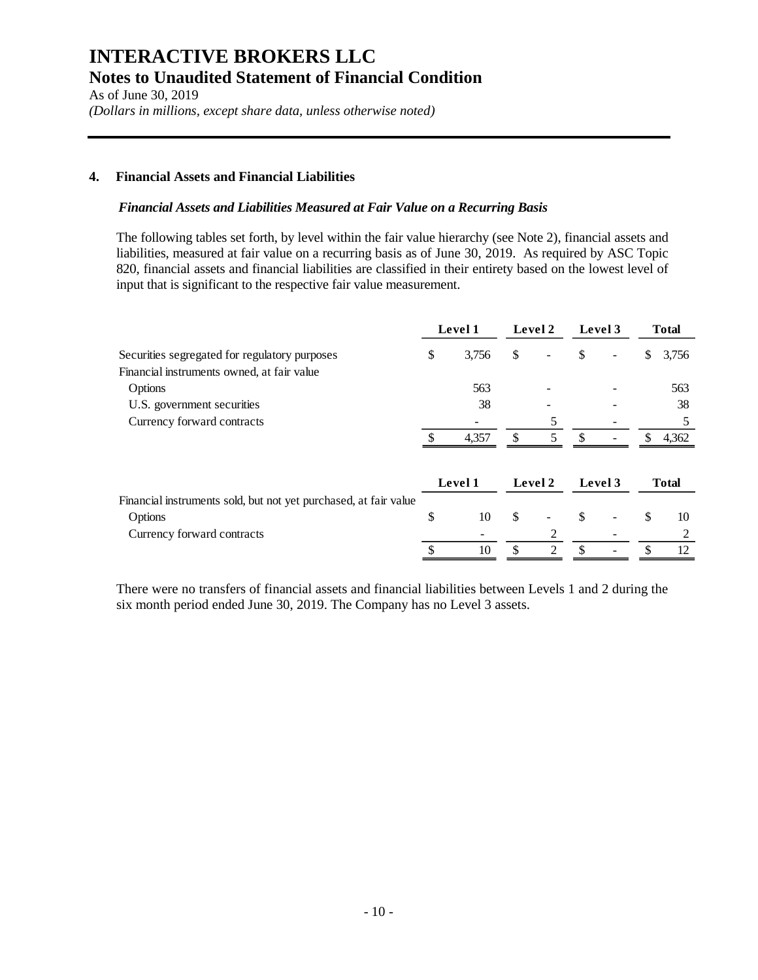As of June 30, 2019 *(Dollars in millions, except share data, unless otherwise noted)*

### **4. Financial Assets and Financial Liabilities**

#### *Financial Assets and Liabilities Measured at Fair Value on a Recurring Basis*

The following tables set forth, by level within the fair value hierarchy (see Note 2), financial assets and liabilities, measured at fair value on a recurring basis as of June 30, 2019. As required by ASC Topic 820, financial assets and financial liabilities are classified in their entirety based on the lowest level of input that is significant to the respective fair value measurement.

|                                                                  | Level 1 |         | Level 2 |               |    |                          | Level 3 | <b>Total</b> |  |
|------------------------------------------------------------------|---------|---------|---------|---------------|----|--------------------------|---------|--------------|--|
| Securities segregated for regulatory purposes                    | \$      | 3,756   | \$      |               | \$ | $\overline{\phantom{0}}$ | \$      | 3,756        |  |
| Financial instruments owned, at fair value                       |         |         |         |               |    |                          |         |              |  |
| Options                                                          |         | 563     |         |               |    |                          |         | 563          |  |
| U.S. government securities                                       |         | 38      |         |               |    |                          |         | 38           |  |
| Currency forward contracts                                       |         |         |         | 5             |    |                          |         | 5            |  |
|                                                                  |         | 4,357   |         | 5             | -S | -                        | S       | 4,362        |  |
|                                                                  |         | Level 1 |         | Level 2       |    | Level 3                  |         | <b>Total</b> |  |
| Financial instruments sold, but not yet purchased, at fair value |         |         |         |               |    |                          |         |              |  |
| Options                                                          | \$      | 10      | \$      |               | \$ |                          | \$      | 10           |  |
| Currency forward contracts                                       |         |         |         |               |    |                          |         | 2            |  |
|                                                                  | ¢       | 10      |         | $\mathcal{D}$ | \$ |                          |         | 12           |  |

There were no transfers of financial assets and financial liabilities between Levels 1 and 2 during the six month period ended June 30, 2019. The Company has no Level 3 assets.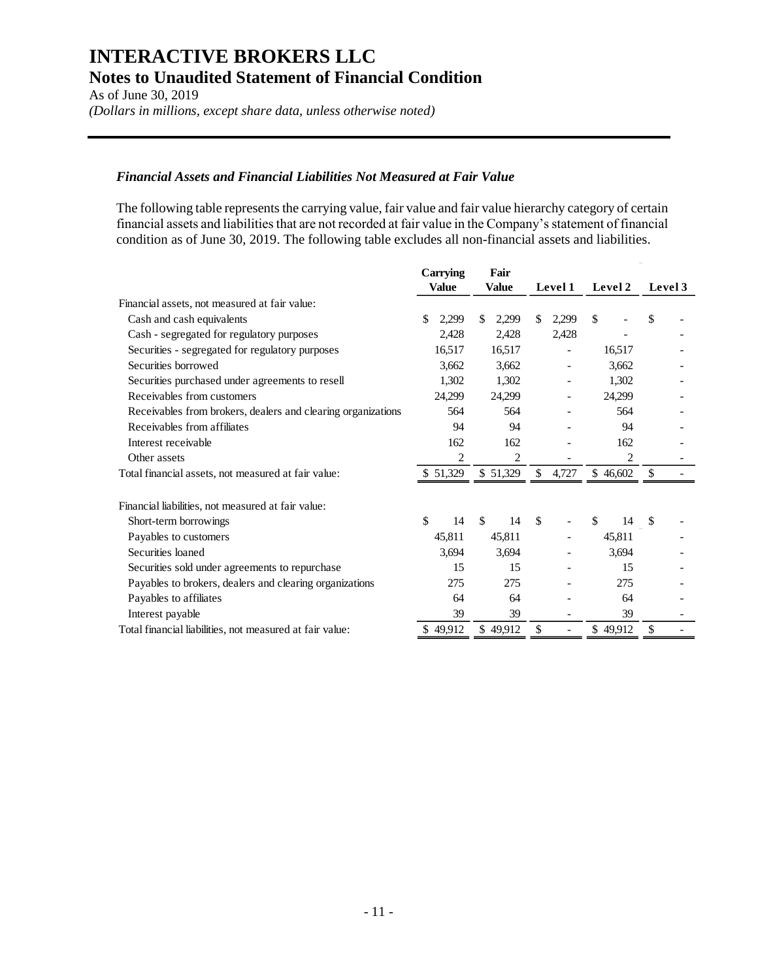As of June 30, 2019 *(Dollars in millions, except share data, unless otherwise noted)*

#### *Financial Assets and Financial Liabilities Not Measured at Fair Value*

The following table represents the carrying value, fair value and fair value hierarchy category of certain financial assets and liabilities that are not recorded at fair value in the Company's statement of financial condition as of June 30, 2019. The following table excludes all non-financial assets and liabilities.

|                                                              | <b>Carrying</b>     | Fair         |               |                |         |
|--------------------------------------------------------------|---------------------|--------------|---------------|----------------|---------|
|                                                              | <b>Value</b>        | Value        | Level 1       | Level 2        | Level 3 |
| Financial assets, not measured at fair value:                |                     |              |               |                |         |
| Cash and cash equivalents                                    | 2,299<br>\$.        | \$.<br>2,299 | \$<br>2,299   | \$             | \$      |
| Cash - segregated for regulatory purposes                    | 2,428               | 2,428        | 2,428         |                |         |
| Securities - segregated for regulatory purposes              | 16,517              | 16,517       |               | 16,517         |         |
| Securities borrowed                                          | 3,662               | 3,662        |               | 3,662          |         |
| Securities purchased under agreements to resell              | 1,302               | 1,302        |               | 1,302          |         |
| Receivables from customers                                   | 24,299              | 24,299       |               | 24,299         |         |
| Receivables from brokers, dealers and clearing organizations | 564                 | 564          |               | 564            |         |
| Receivables from affiliates                                  | 94                  | 94           |               | 94             |         |
| Interest receivable                                          | 162                 | 162          |               | 162            |         |
| Other assets                                                 | $\overline{c}$      | 2            |               | $\overline{c}$ |         |
| Total financial assets, not measured at fair value:          | \$51,329            | \$51,329     | 4,727<br>\$   | \$46,602       |         |
| Financial liabilities, not measured at fair value:           |                     |              |               |                |         |
| Short-term borrowings                                        | $\mathcal{S}$<br>14 | \$<br>14     | $\mathcal{S}$ | \$<br>14       | - \$    |
| Payables to customers                                        | 45,811              | 45,811       |               | 45,811         |         |
| Securities loaned                                            | 3,694               | 3,694        |               | 3,694          |         |
| Securities sold under agreements to repurchase               | 15                  | 15           |               | 15             |         |
| Payables to brokers, dealers and clearing organizations      | 275                 | 275          |               | 275            |         |
| Payables to affiliates                                       | 64                  | 64           |               | 64             |         |
| Interest payable                                             | 39                  | 39           |               | 39             |         |
| Total financial liabilities, not measured at fair value:     | \$49,912            | \$49,912     | \$            | \$49,912       | \$      |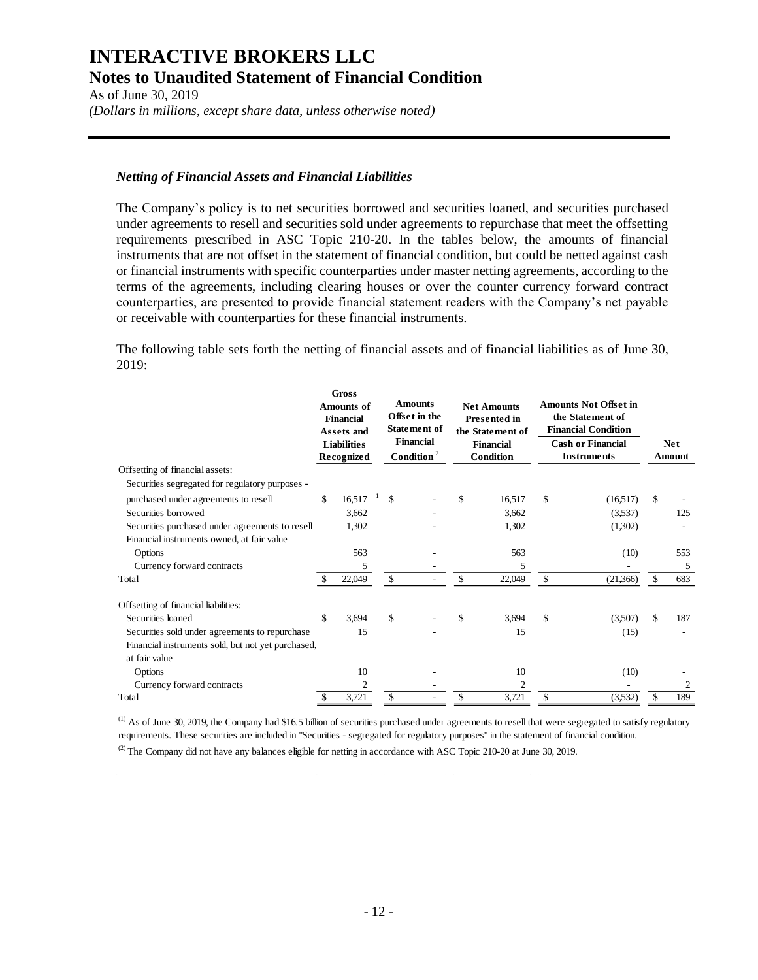As of June 30, 2019 *(Dollars in millions, except share data, unless otherwise noted)*

### *Netting of Financial Assets and Financial Liabilities*

The Company's policy is to net securities borrowed and securities loaned, and securities purchased under agreements to resell and securities sold under agreements to repurchase that meet the offsetting requirements prescribed in ASC Topic 210-20. In the tables below, the amounts of financial instruments that are not offset in the statement of financial condition, but could be netted against cash or financial instruments with specific counterparties under master netting agreements, according to the terms of the agreements, including clearing houses or over the counter currency forward contract counterparties, are presented to provide financial statement readers with the Company's net payable or receivable with counterparties for these financial instruments.

The following table sets forth the netting of financial assets and of financial liabilities as of June 30, 2019:

|                                                                                                                                                                   | <b>Gross</b><br><b>Amounts of</b><br><b>Financial</b><br>Assets and<br><b>Liabilities</b><br><b>Recognized</b> |                          |  |    |  |    |                          |    |                                |           | <b>Amounts</b><br>Offset in the<br><b>Statement of</b><br><b>Financial</b><br>Condition $2$ |  | <b>Net Amounts</b><br><b>Presented in</b><br>the Statement of<br><b>Financial</b><br>Condition |  | <b>Amounts Not Offset in</b><br>the Statement of<br><b>Financial Condition</b><br><b>Cash or Financial</b><br><b>Instruments</b> |  | <b>Net</b><br>Amount |
|-------------------------------------------------------------------------------------------------------------------------------------------------------------------|----------------------------------------------------------------------------------------------------------------|--------------------------|--|----|--|----|--------------------------|----|--------------------------------|-----------|---------------------------------------------------------------------------------------------|--|------------------------------------------------------------------------------------------------|--|----------------------------------------------------------------------------------------------------------------------------------|--|----------------------|
| Offsetting of financial assets:<br>Securities segregated for regulatory purposes -                                                                                |                                                                                                                |                          |  |    |  |    |                          |    |                                |           |                                                                                             |  |                                                                                                |  |                                                                                                                                  |  |                      |
| purchased under agreements to resell<br>Securities borrowed<br>Securities purchased under agreements to resell<br>Financial instruments owned, at fair value      | \$                                                                                                             | 16,517<br>3,662<br>1,302 |  | \$ |  | \$ | 16,517<br>3,662<br>1,302 | \$ | (16,517)<br>(3,537)<br>(1,302) | \$<br>125 |                                                                                             |  |                                                                                                |  |                                                                                                                                  |  |                      |
| Options                                                                                                                                                           |                                                                                                                | 563                      |  |    |  |    | 563                      |    | (10)                           | 553       |                                                                                             |  |                                                                                                |  |                                                                                                                                  |  |                      |
| Currency forward contracts                                                                                                                                        |                                                                                                                | 5                        |  |    |  |    | 5                        |    |                                | 5         |                                                                                             |  |                                                                                                |  |                                                                                                                                  |  |                      |
| Total                                                                                                                                                             | S                                                                                                              | 22,049                   |  | \$ |  | \$ | 22,049                   | \$ | (21, 366)                      | 683       |                                                                                             |  |                                                                                                |  |                                                                                                                                  |  |                      |
| Offsetting of financial liabilities:<br>Securities loaned<br>Securities sold under agreements to repurchase<br>Financial instruments sold, but not yet purchased, | \$                                                                                                             | 3,694<br>15              |  | \$ |  | \$ | 3.694<br>15              | \$ | (3,507)<br>(15)                | \$<br>187 |                                                                                             |  |                                                                                                |  |                                                                                                                                  |  |                      |
| at fair value<br>Options                                                                                                                                          |                                                                                                                | 10                       |  |    |  |    | 10                       |    | (10)                           |           |                                                                                             |  |                                                                                                |  |                                                                                                                                  |  |                      |
| Currency forward contracts                                                                                                                                        |                                                                                                                | $\mathfrak{2}$           |  |    |  |    | 2                        |    |                                | 2         |                                                                                             |  |                                                                                                |  |                                                                                                                                  |  |                      |
| Total                                                                                                                                                             | \$                                                                                                             | 3,721                    |  | \$ |  | \$ | 3,721                    | \$ | (3,532)                        | \$<br>189 |                                                                                             |  |                                                                                                |  |                                                                                                                                  |  |                      |

 $<sup>(1)</sup>$  As of June 30, 2019, the Company had \$16.5 billion of securities purchased under agreements to resell that were segregated to satisfy regulatory</sup> requirements. These securities are included in "Securities - segregated for regulatory purposes" in the statement of financial condition. (2) The Company did not have any balances eligible for netting in accordance with ASC Topic 210-20 at June 30, 2019.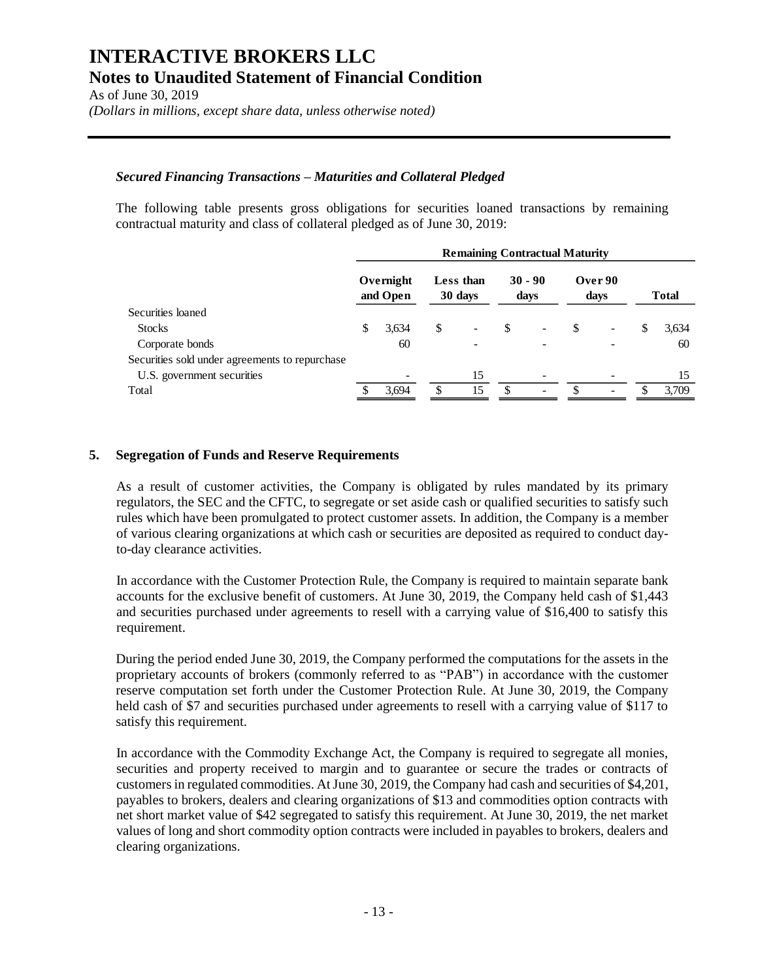As of June 30, 2019 *(Dollars in millions, except share data, unless otherwise noted)*

#### *Secured Financing Transactions – Maturities and Collateral Pledged*

The following table presents gross obligations for securities loaned transactions by remaining contractual maturity and class of collateral pledged as of June 30, 2019:

|                                                | <b>Remaining Contractual Maturity</b> |                       |    |                      |     |                   |    |                 |     |              |
|------------------------------------------------|---------------------------------------|-----------------------|----|----------------------|-----|-------------------|----|-----------------|-----|--------------|
|                                                |                                       | Overnight<br>and Open |    | Less than<br>30 days |     | $30 - 90$<br>days |    | Over 90<br>days |     | <b>Total</b> |
| Securities loaned                              |                                       |                       |    |                      |     |                   |    |                 |     |              |
| <b>Stocks</b>                                  | \$                                    | 3,634                 | \$ |                      | \$  |                   | \$ |                 | S   | 3,634        |
| Corporate bonds                                |                                       | 60                    |    |                      |     |                   |    |                 |     | 60           |
| Securities sold under agreements to repurchase |                                       |                       |    |                      |     |                   |    |                 |     |              |
| U.S. government securities                     |                                       |                       |    | 15                   |     |                   |    |                 |     | 15           |
| Total                                          |                                       | 3.694                 | S  | 15                   | \$. | ۰                 |    |                 | \$. | 3.709        |
|                                                |                                       |                       |    |                      |     |                   |    |                 |     |              |

#### **5. Segregation of Funds and Reserve Requirements**

As a result of customer activities, the Company is obligated by rules mandated by its primary regulators, the SEC and the CFTC, to segregate or set aside cash or qualified securities to satisfy such rules which have been promulgated to protect customer assets. In addition, the Company is a member of various clearing organizations at which cash or securities are deposited as required to conduct dayto-day clearance activities.

In accordance with the Customer Protection Rule, the Company is required to maintain separate bank accounts for the exclusive benefit of customers. At June 30, 2019, the Company held cash of \$1,443 and securities purchased under agreements to resell with a carrying value of \$16,400 to satisfy this requirement.

During the period ended June 30, 2019, the Company performed the computations for the assets in the proprietary accounts of brokers (commonly referred to as "PAB") in accordance with the customer reserve computation set forth under the Customer Protection Rule. At June 30, 2019, the Company held cash of \$7 and securities purchased under agreements to resell with a carrying value of \$117 to satisfy this requirement.

In accordance with the Commodity Exchange Act, the Company is required to segregate all monies, securities and property received to margin and to guarantee or secure the trades or contracts of customers in regulated commodities. At June 30, 2019, the Company had cash and securities of \$4,201, payables to brokers, dealers and clearing organizations of \$13 and commodities option contracts with net short market value of \$42 segregated to satisfy this requirement. At June 30, 2019, the net market values of long and short commodity option contracts were included in payables to brokers, dealers and clearing organizations.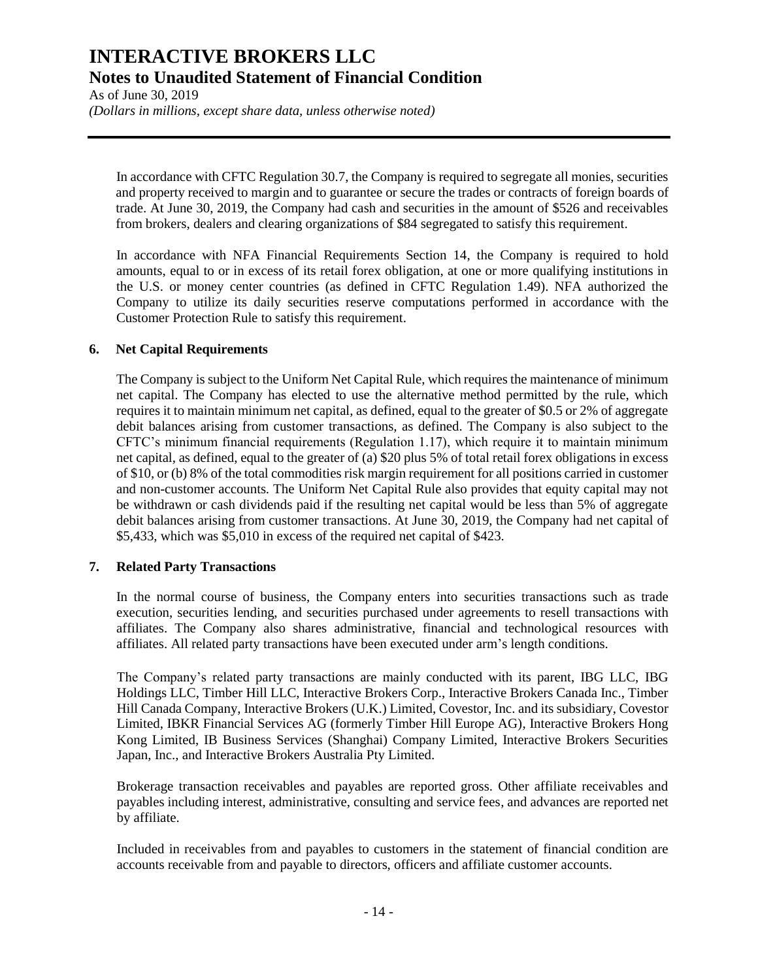As of June 30, 2019 *(Dollars in millions, except share data, unless otherwise noted)*

In accordance with CFTC Regulation 30.7, the Company is required to segregate all monies, securities and property received to margin and to guarantee or secure the trades or contracts of foreign boards of trade. At June 30, 2019, the Company had cash and securities in the amount of \$526 and receivables from brokers, dealers and clearing organizations of \$84 segregated to satisfy this requirement.

In accordance with NFA Financial Requirements Section 14, the Company is required to hold amounts, equal to or in excess of its retail forex obligation, at one or more qualifying institutions in the U.S. or money center countries (as defined in CFTC Regulation 1.49). NFA authorized the Company to utilize its daily securities reserve computations performed in accordance with the Customer Protection Rule to satisfy this requirement.

#### **6. Net Capital Requirements**

The Company is subject to the Uniform Net Capital Rule, which requires the maintenance of minimum net capital. The Company has elected to use the alternative method permitted by the rule, which requires it to maintain minimum net capital, as defined, equal to the greater of \$0.5 or 2% of aggregate debit balances arising from customer transactions, as defined. The Company is also subject to the CFTC's minimum financial requirements (Regulation 1.17), which require it to maintain minimum net capital, as defined, equal to the greater of (a) \$20 plus 5% of total retail forex obligations in excess of \$10, or (b) 8% of the total commodities risk margin requirement for all positions carried in customer and non-customer accounts. The Uniform Net Capital Rule also provides that equity capital may not be withdrawn or cash dividends paid if the resulting net capital would be less than 5% of aggregate debit balances arising from customer transactions. At June 30, 2019, the Company had net capital of \$5,433, which was \$5,010 in excess of the required net capital of \$423.

#### **7. Related Party Transactions**

In the normal course of business, the Company enters into securities transactions such as trade execution, securities lending, and securities purchased under agreements to resell transactions with affiliates. The Company also shares administrative, financial and technological resources with affiliates. All related party transactions have been executed under arm's length conditions.

The Company's related party transactions are mainly conducted with its parent, IBG LLC, IBG Holdings LLC, Timber Hill LLC, Interactive Brokers Corp., Interactive Brokers Canada Inc., Timber Hill Canada Company, Interactive Brokers (U.K.) Limited, Covestor, Inc. and its subsidiary, Covestor Limited, IBKR Financial Services AG (formerly Timber Hill Europe AG), Interactive Brokers Hong Kong Limited, IB Business Services (Shanghai) Company Limited, Interactive Brokers Securities Japan, Inc., and Interactive Brokers Australia Pty Limited.

Brokerage transaction receivables and payables are reported gross. Other affiliate receivables and payables including interest, administrative, consulting and service fees, and advances are reported net by affiliate.

Included in receivables from and payables to customers in the statement of financial condition are accounts receivable from and payable to directors, officers and affiliate customer accounts.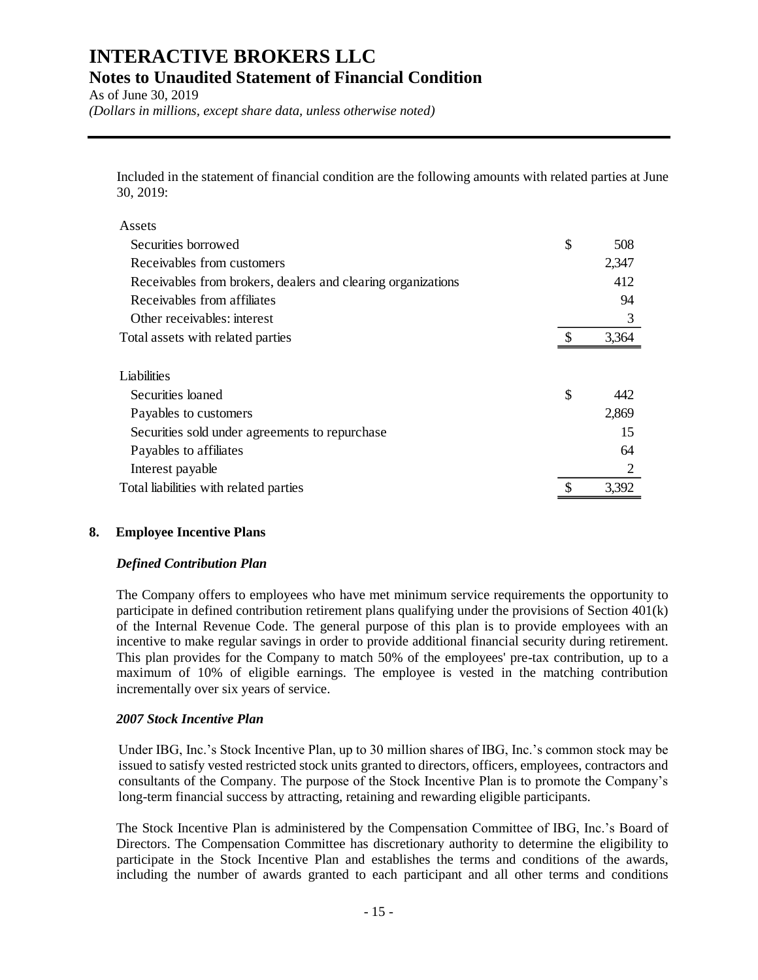As of June 30, 2019 *(Dollars in millions, except share data, unless otherwise noted)*

Included in the statement of financial condition are the following amounts with related parties at June 30, 2019:

| Assets                                                       |           |
|--------------------------------------------------------------|-----------|
| Securities borrowed                                          | \$<br>508 |
| Receivables from customers                                   | 2,347     |
| Receivables from brokers, dealers and clearing organizations | 412       |
| Receivables from affiliates                                  | 94        |
| Other receivables: interest                                  | 3         |
| Total assets with related parties                            | 3,364     |
|                                                              |           |
| Liabilities                                                  |           |
| Securities loaned                                            | \$<br>442 |
| Payables to customers                                        | 2,869     |
| Securities sold under agreements to repurchase               | 15        |
| Payables to affiliates                                       | 64        |
| Interest payable                                             |           |
| Total liabilities with related parties                       | 3,392     |

## **8. Employee Incentive Plans**

#### *Defined Contribution Plan*

The Company offers to employees who have met minimum service requirements the opportunity to participate in defined contribution retirement plans qualifying under the provisions of Section 401(k) of the Internal Revenue Code. The general purpose of this plan is to provide employees with an incentive to make regular savings in order to provide additional financial security during retirement. This plan provides for the Company to match 50% of the employees' pre-tax contribution, up to a maximum of 10% of eligible earnings. The employee is vested in the matching contribution incrementally over six years of service.

#### *2007 Stock Incentive Plan*

Under IBG, Inc.'s Stock Incentive Plan, up to 30 million shares of IBG, Inc.'s common stock may be issued to satisfy vested restricted stock units granted to directors, officers, employees, contractors and consultants of the Company. The purpose of the Stock Incentive Plan is to promote the Company's long-term financial success by attracting, retaining and rewarding eligible participants.

The Stock Incentive Plan is administered by the Compensation Committee of IBG, Inc.'s Board of Directors. The Compensation Committee has discretionary authority to determine the eligibility to participate in the Stock Incentive Plan and establishes the terms and conditions of the awards, including the number of awards granted to each participant and all other terms and conditions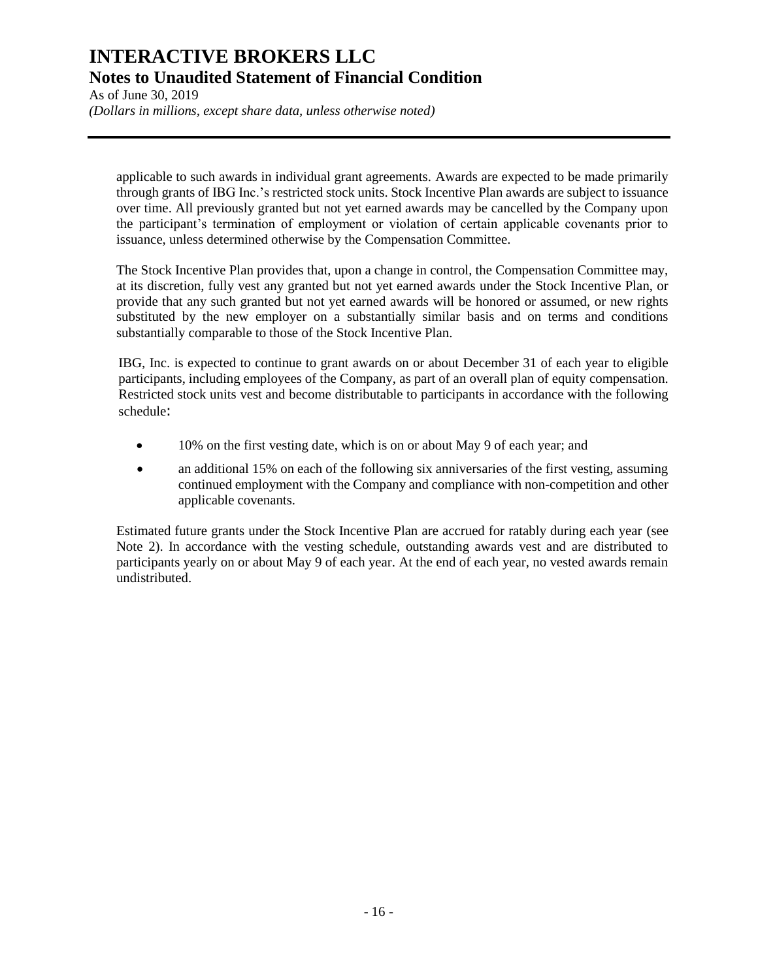As of June 30, 2019 *(Dollars in millions, except share data, unless otherwise noted)*

applicable to such awards in individual grant agreements. Awards are expected to be made primarily through grants of IBG Inc.'s restricted stock units. Stock Incentive Plan awards are subject to issuance over time. All previously granted but not yet earned awards may be cancelled by the Company upon the participant's termination of employment or violation of certain applicable covenants prior to issuance, unless determined otherwise by the Compensation Committee.

The Stock Incentive Plan provides that, upon a change in control, the Compensation Committee may, at its discretion, fully vest any granted but not yet earned awards under the Stock Incentive Plan, or provide that any such granted but not yet earned awards will be honored or assumed, or new rights substituted by the new employer on a substantially similar basis and on terms and conditions substantially comparable to those of the Stock Incentive Plan.

IBG, Inc. is expected to continue to grant awards on or about December 31 of each year to eligible participants, including employees of the Company, as part of an overall plan of equity compensation. Restricted stock units vest and become distributable to participants in accordance with the following schedule:

- 10% on the first vesting date, which is on or about May 9 of each year; and
- an additional 15% on each of the following six anniversaries of the first vesting, assuming continued employment with the Company and compliance with non-competition and other applicable covenants.

Estimated future grants under the Stock Incentive Plan are accrued for ratably during each year (see Note 2). In accordance with the vesting schedule, outstanding awards vest and are distributed to participants yearly on or about May 9 of each year. At the end of each year, no vested awards remain undistributed.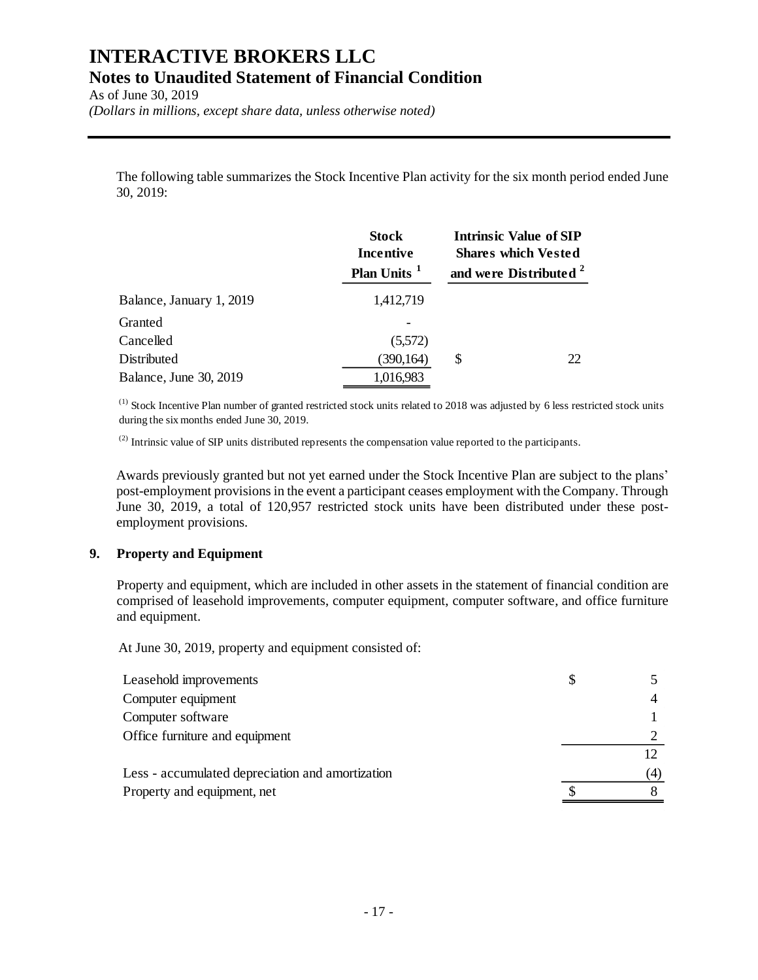As of June 30, 2019 *(Dollars in millions, except share data, unless otherwise noted)*

The following table summarizes the Stock Incentive Plan activity for the six month period ended June 30, 2019:

|                          | <b>Stock</b><br>Incentive<br>Plan Units <sup>1</sup> | <b>Intrinsic Value of SIP</b><br><b>Shares which Vested</b><br>and were Distributed <sup>2</sup> |
|--------------------------|------------------------------------------------------|--------------------------------------------------------------------------------------------------|
| Balance, January 1, 2019 | 1,412,719                                            |                                                                                                  |
| Granted                  |                                                      |                                                                                                  |
| Cancelled                | (5,572)                                              |                                                                                                  |
| Distributed              | (390, 164)                                           | \$<br>22                                                                                         |
| Balance, June 30, 2019   | 1,016,983                                            |                                                                                                  |

(1) Stock Incentive Plan number of granted restricted stock units related to 2018 was adjusted by 6 less restricted stock units during the six months ended June 30, 2019.

<sup>(2)</sup> Intrinsic value of SIP units distributed represents the compensation value reported to the participants.

Awards previously granted but not yet earned under the Stock Incentive Plan are subject to the plans' post-employment provisions in the event a participant ceases employment with the Company. Through June 30, 2019, a total of 120,957 restricted stock units have been distributed under these postemployment provisions.

#### **9. Property and Equipment**

Property and equipment, which are included in other assets in the statement of financial condition are comprised of leasehold improvements, computer equipment, computer software, and office furniture and equipment.

At June 30, 2019, property and equipment consisted of:

| Leasehold improvements                           | \$  |
|--------------------------------------------------|-----|
| Computer equipment                               |     |
| Computer software                                |     |
| Office furniture and equipment                   |     |
|                                                  |     |
| Less - accumulated depreciation and amortization | (4) |
| Property and equipment, net                      |     |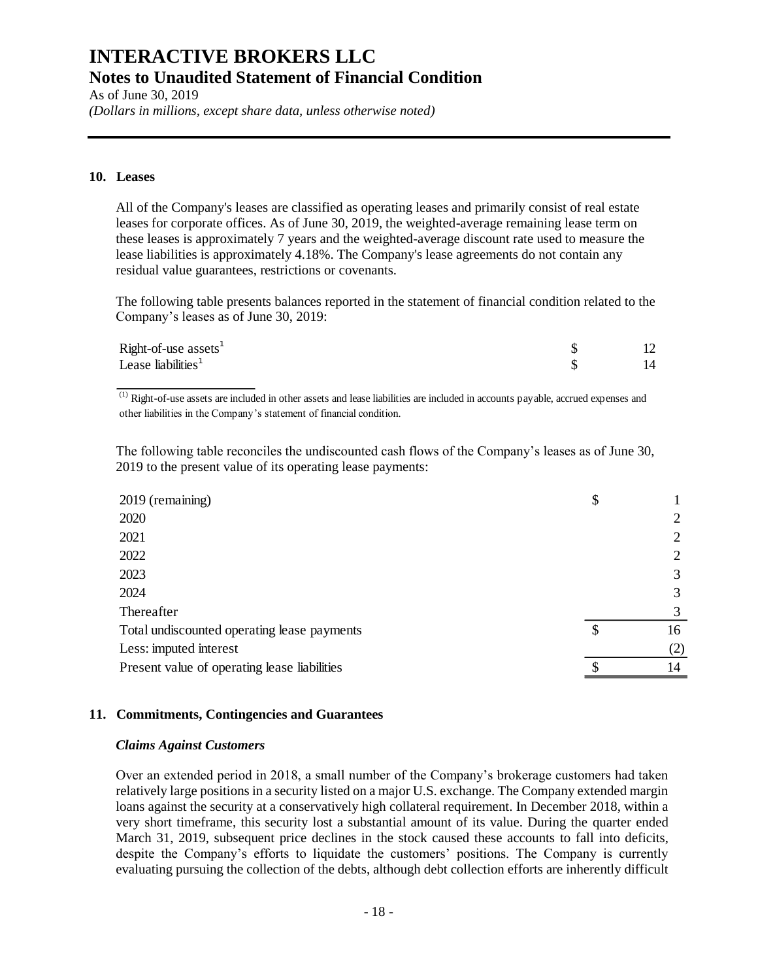As of June 30, 2019

*(Dollars in millions, except share data, unless otherwise noted)*

### **10. Leases**

All of the Company's leases are classified as operating leases and primarily consist of real estate leases for corporate offices. As of June 30, 2019, the weighted-average remaining lease term on these leases is approximately 7 years and the weighted-average discount rate used to measure the lease liabilities is approximately 4.18%. The Company's lease agreements do not contain any residual value guarantees, restrictions or covenants.

The following table presents balances reported in the statement of financial condition related to the Company's leases as of June 30, 2019:

| $Right-of-use assets1$ |  |
|------------------------|--|
| Lease liabilities $1$  |  |

 $\overline{^{(1)}}$  Right-of-use assets are included in other assets and lease liabilities are included in accounts payable, accrued expenses and other liabilities in the Company's statement of financial condition.

The following table reconciles the undiscounted cash flows of the Company's leases as of June 30, 2019 to the present value of its operating lease payments:

| 2019 (remaining)                             | \$ |     |
|----------------------------------------------|----|-----|
| 2020                                         |    |     |
| 2021                                         |    | 2   |
| 2022                                         |    | 2   |
| 2023                                         |    | 3   |
| 2024                                         |    | 3   |
| Thereafter                                   |    | 3   |
| Total undiscounted operating lease payments  | S  | 16  |
| Less: imputed interest                       |    | (2) |
| Present value of operating lease liabilities |    | 14  |

#### **11. Commitments, Contingencies and Guarantees**

#### *Claims Against Customers*

Over an extended period in 2018, a small number of the Company's brokerage customers had taken relatively large positions in a security listed on a major U.S. exchange. The Company extended margin loans against the security at a conservatively high collateral requirement. In December 2018, within a very short timeframe, this security lost a substantial amount of its value. During the quarter ended March 31, 2019, subsequent price declines in the stock caused these accounts to fall into deficits, despite the Company's efforts to liquidate the customers' positions. The Company is currently evaluating pursuing the collection of the debts, although debt collection efforts are inherently difficult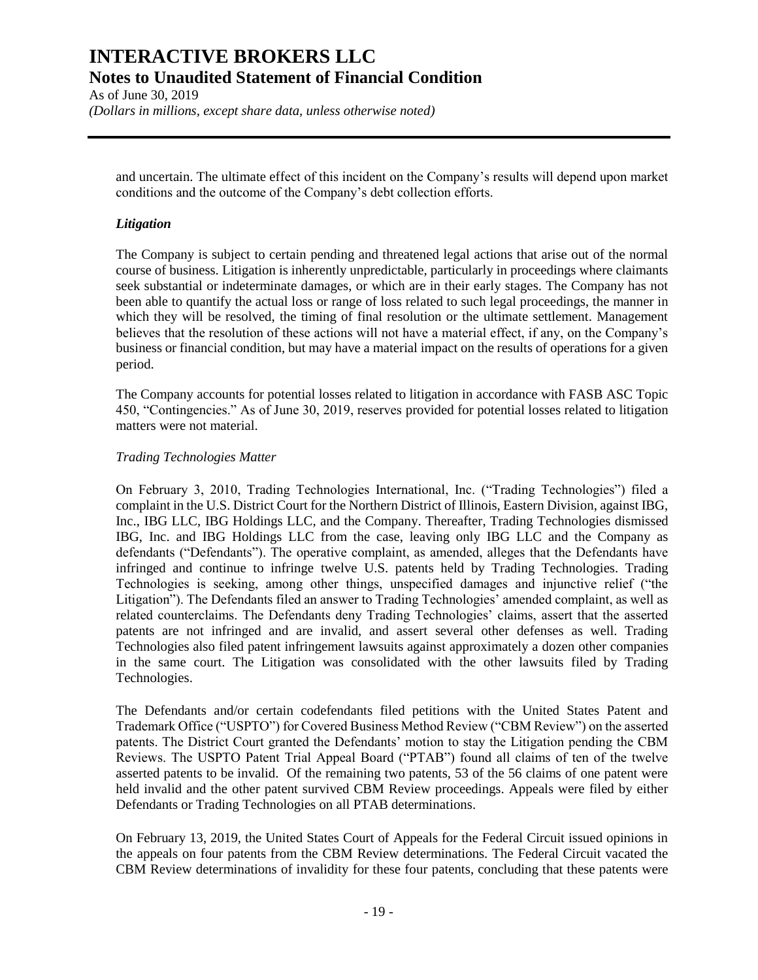As of June 30, 2019 *(Dollars in millions, except share data, unless otherwise noted)*

and uncertain. The ultimate effect of this incident on the Company's results will depend upon market conditions and the outcome of the Company's debt collection efforts.

#### *Litigation*

The Company is subject to certain pending and threatened legal actions that arise out of the normal course of business. Litigation is inherently unpredictable, particularly in proceedings where claimants seek substantial or indeterminate damages, or which are in their early stages. The Company has not been able to quantify the actual loss or range of loss related to such legal proceedings, the manner in which they will be resolved, the timing of final resolution or the ultimate settlement. Management believes that the resolution of these actions will not have a material effect, if any, on the Company's business or financial condition, but may have a material impact on the results of operations for a given period.

The Company accounts for potential losses related to litigation in accordance with FASB ASC Topic 450, "Contingencies." As of June 30, 2019, reserves provided for potential losses related to litigation matters were not material.

#### *Trading Technologies Matter*

On February 3, 2010, Trading Technologies International, Inc. ("Trading Technologies") filed a complaint in the U.S. District Court for the Northern District of Illinois, Eastern Division, against IBG, Inc., IBG LLC, IBG Holdings LLC, and the Company. Thereafter, Trading Technologies dismissed IBG, Inc. and IBG Holdings LLC from the case, leaving only IBG LLC and the Company as defendants ("Defendants"). The operative complaint, as amended, alleges that the Defendants have infringed and continue to infringe twelve U.S. patents held by Trading Technologies. Trading Technologies is seeking, among other things, unspecified damages and injunctive relief ("the Litigation"). The Defendants filed an answer to Trading Technologies' amended complaint, as well as related counterclaims. The Defendants deny Trading Technologies' claims, assert that the asserted patents are not infringed and are invalid, and assert several other defenses as well. Trading Technologies also filed patent infringement lawsuits against approximately a dozen other companies in the same court. The Litigation was consolidated with the other lawsuits filed by Trading Technologies.

The Defendants and/or certain codefendants filed petitions with the United States Patent and Trademark Office ("USPTO") for Covered Business Method Review ("CBM Review") on the asserted patents. The District Court granted the Defendants' motion to stay the Litigation pending the CBM Reviews. The USPTO Patent Trial Appeal Board ("PTAB") found all claims of ten of the twelve asserted patents to be invalid. Of the remaining two patents, 53 of the 56 claims of one patent were held invalid and the other patent survived CBM Review proceedings. Appeals were filed by either Defendants or Trading Technologies on all PTAB determinations.

On February 13, 2019, the United States Court of Appeals for the Federal Circuit issued opinions in the appeals on four patents from the CBM Review determinations. The Federal Circuit vacated the CBM Review determinations of invalidity for these four patents, concluding that these patents were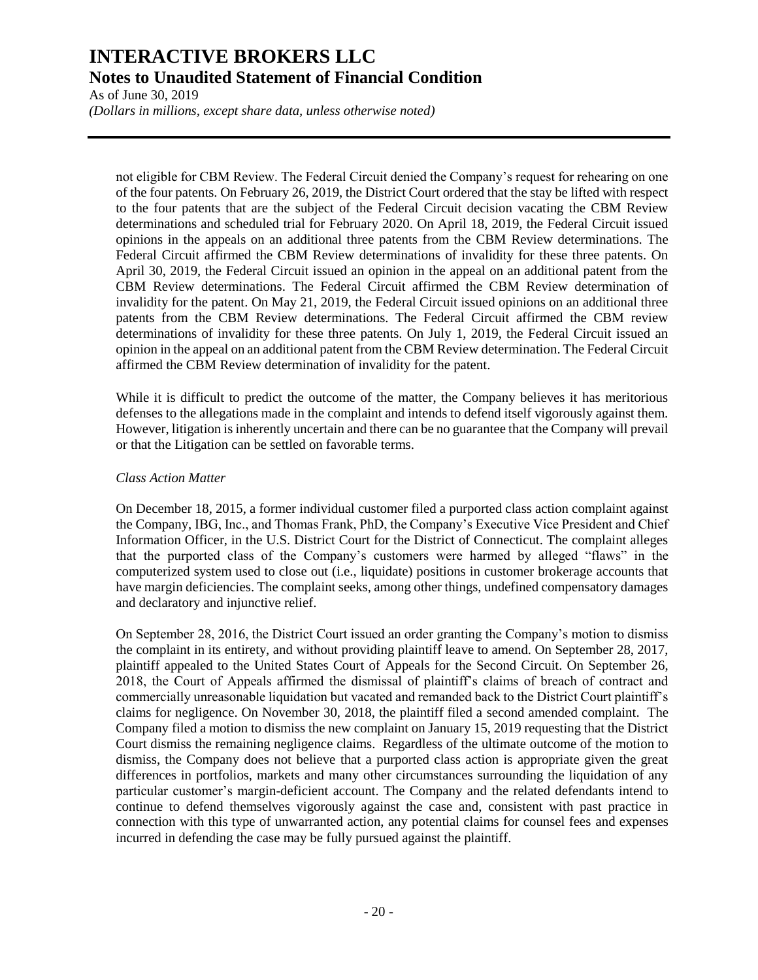As of June 30, 2019

*(Dollars in millions, except share data, unless otherwise noted)*

not eligible for CBM Review. The Federal Circuit denied the Company's request for rehearing on one of the four patents. On February 26, 2019, the District Court ordered that the stay be lifted with respect to the four patents that are the subject of the Federal Circuit decision vacating the CBM Review determinations and scheduled trial for February 2020. On April 18, 2019, the Federal Circuit issued opinions in the appeals on an additional three patents from the CBM Review determinations. The Federal Circuit affirmed the CBM Review determinations of invalidity for these three patents. On April 30, 2019, the Federal Circuit issued an opinion in the appeal on an additional patent from the CBM Review determinations. The Federal Circuit affirmed the CBM Review determination of invalidity for the patent. On May 21, 2019, the Federal Circuit issued opinions on an additional three patents from the CBM Review determinations. The Federal Circuit affirmed the CBM review determinations of invalidity for these three patents. On July 1, 2019, the Federal Circuit issued an opinion in the appeal on an additional patent from the CBM Review determination. The Federal Circuit affirmed the CBM Review determination of invalidity for the patent.

While it is difficult to predict the outcome of the matter, the Company believes it has meritorious defenses to the allegations made in the complaint and intends to defend itself vigorously against them. However, litigation is inherently uncertain and there can be no guarantee that the Company will prevail or that the Litigation can be settled on favorable terms.

#### *Class Action Matter*

On December 18, 2015, a former individual customer filed a purported class action complaint against the Company, IBG, Inc., and Thomas Frank, PhD, the Company's Executive Vice President and Chief Information Officer, in the U.S. District Court for the District of Connecticut. The complaint alleges that the purported class of the Company's customers were harmed by alleged "flaws" in the computerized system used to close out (i.e., liquidate) positions in customer brokerage accounts that have margin deficiencies. The complaint seeks, among other things, undefined compensatory damages and declaratory and injunctive relief.

On September 28, 2016, the District Court issued an order granting the Company's motion to dismiss the complaint in its entirety, and without providing plaintiff leave to amend. On September 28, 2017, plaintiff appealed to the United States Court of Appeals for the Second Circuit. On September 26, 2018, the Court of Appeals affirmed the dismissal of plaintiff's claims of breach of contract and commercially unreasonable liquidation but vacated and remanded back to the District Court plaintiff's claims for negligence. On November 30, 2018, the plaintiff filed a second amended complaint. The Company filed a motion to dismiss the new complaint on January 15, 2019 requesting that the District Court dismiss the remaining negligence claims. Regardless of the ultimate outcome of the motion to dismiss, the Company does not believe that a purported class action is appropriate given the great differences in portfolios, markets and many other circumstances surrounding the liquidation of any particular customer's margin-deficient account. The Company and the related defendants intend to continue to defend themselves vigorously against the case and, consistent with past practice in connection with this type of unwarranted action, any potential claims for counsel fees and expenses incurred in defending the case may be fully pursued against the plaintiff.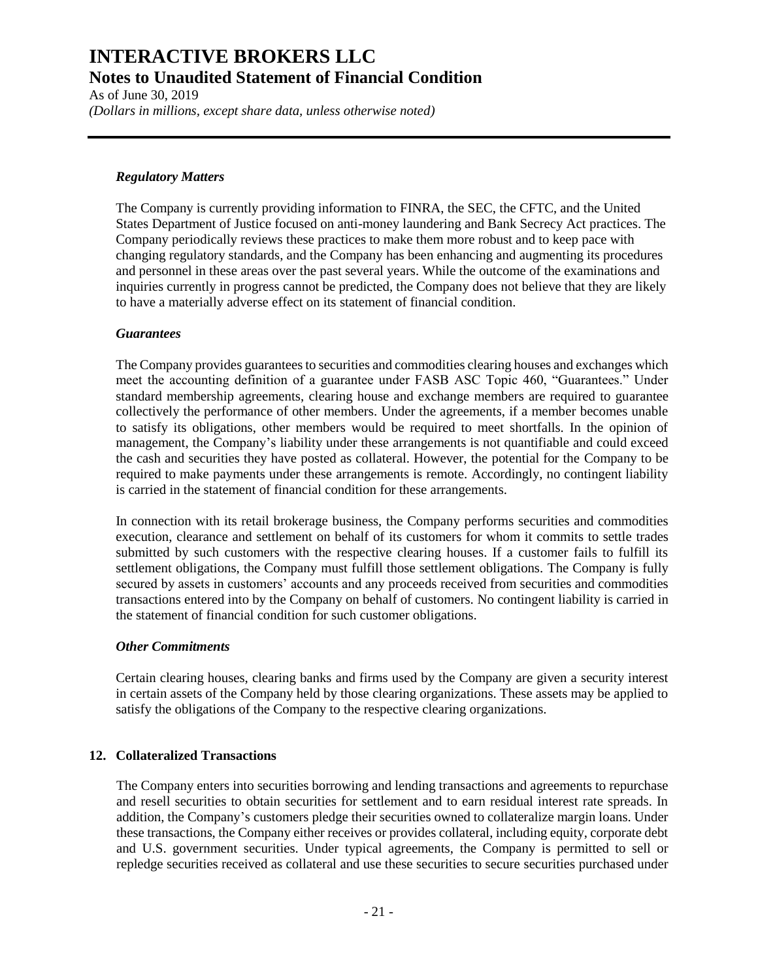As of June 30, 2019 *(Dollars in millions, except share data, unless otherwise noted)*

#### *Regulatory Matters*

The Company is currently providing information to FINRA, the SEC, the CFTC, and the United States Department of Justice focused on anti-money laundering and Bank Secrecy Act practices. The Company periodically reviews these practices to make them more robust and to keep pace with changing regulatory standards, and the Company has been enhancing and augmenting its procedures and personnel in these areas over the past several years. While the outcome of the examinations and inquiries currently in progress cannot be predicted, the Company does not believe that they are likely to have a materially adverse effect on its statement of financial condition.

### *Guarantees*

The Company provides guarantees to securities and commodities clearing houses and exchanges which meet the accounting definition of a guarantee under FASB ASC Topic 460, "Guarantees." Under standard membership agreements, clearing house and exchange members are required to guarantee collectively the performance of other members. Under the agreements, if a member becomes unable to satisfy its obligations, other members would be required to meet shortfalls. In the opinion of management, the Company's liability under these arrangements is not quantifiable and could exceed the cash and securities they have posted as collateral. However, the potential for the Company to be required to make payments under these arrangements is remote. Accordingly, no contingent liability is carried in the statement of financial condition for these arrangements.

In connection with its retail brokerage business, the Company performs securities and commodities execution, clearance and settlement on behalf of its customers for whom it commits to settle trades submitted by such customers with the respective clearing houses. If a customer fails to fulfill its settlement obligations, the Company must fulfill those settlement obligations. The Company is fully secured by assets in customers' accounts and any proceeds received from securities and commodities transactions entered into by the Company on behalf of customers. No contingent liability is carried in the statement of financial condition for such customer obligations.

## *Other Commitments*

Certain clearing houses, clearing banks and firms used by the Company are given a security interest in certain assets of the Company held by those clearing organizations. These assets may be applied to satisfy the obligations of the Company to the respective clearing organizations.

## **12. Collateralized Transactions**

The Company enters into securities borrowing and lending transactions and agreements to repurchase and resell securities to obtain securities for settlement and to earn residual interest rate spreads. In addition, the Company's customers pledge their securities owned to collateralize margin loans. Under these transactions, the Company either receives or provides collateral, including equity, corporate debt and U.S. government securities. Under typical agreements, the Company is permitted to sell or repledge securities received as collateral and use these securities to secure securities purchased under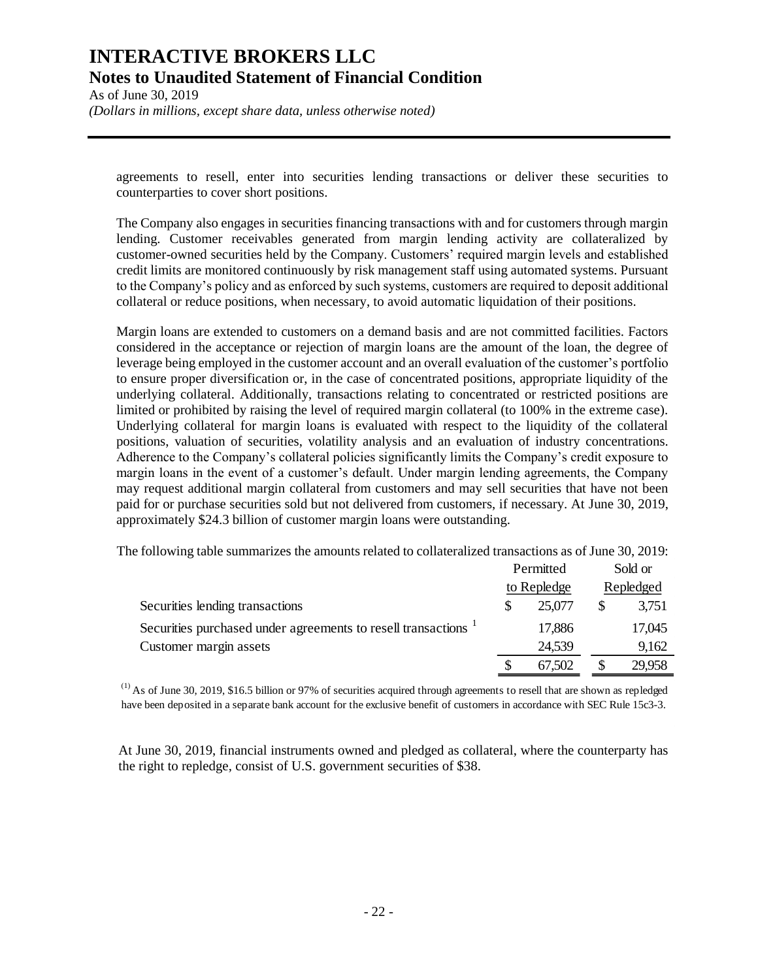As of June 30, 2019 *(Dollars in millions, except share data, unless otherwise noted)*

agreements to resell, enter into securities lending transactions or deliver these securities to counterparties to cover short positions.

The Company also engages in securities financing transactions with and for customers through margin lending. Customer receivables generated from margin lending activity are collateralized by customer-owned securities held by the Company. Customers' required margin levels and established credit limits are monitored continuously by risk management staff using automated systems. Pursuant to the Company's policy and as enforced by such systems, customers are required to deposit additional collateral or reduce positions, when necessary, to avoid automatic liquidation of their positions.

Margin loans are extended to customers on a demand basis and are not committed facilities. Factors considered in the acceptance or rejection of margin loans are the amount of the loan, the degree of leverage being employed in the customer account and an overall evaluation of the customer's portfolio to ensure proper diversification or, in the case of concentrated positions, appropriate liquidity of the underlying collateral. Additionally, transactions relating to concentrated or restricted positions are limited or prohibited by raising the level of required margin collateral (to 100% in the extreme case). Underlying collateral for margin loans is evaluated with respect to the liquidity of the collateral positions, valuation of securities, volatility analysis and an evaluation of industry concentrations. Adherence to the Company's collateral policies significantly limits the Company's credit exposure to margin loans in the event of a customer's default. Under margin lending agreements, the Company may request additional margin collateral from customers and may sell securities that have not been paid for or purchase securities sold but not delivered from customers, if necessary. At June 30, 2019, approximately \$24.3 billion of customer margin loans were outstanding.

The following table summarizes the amounts related to collateralized transactions as of June 30, 2019:

|                                                                           | Permitted<br>to Repledge |        | Sold or<br>Repledged |        |
|---------------------------------------------------------------------------|--------------------------|--------|----------------------|--------|
|                                                                           |                          |        |                      |        |
| Securities lending transactions                                           |                          | 25,077 |                      | 3,751  |
| Securities purchased under agreements to resell transactions <sup>1</sup> |                          | 17,886 |                      | 17,045 |
| Customer margin assets                                                    |                          | 24,539 |                      | 9,162  |
|                                                                           |                          | 67,502 |                      | 29,958 |

(1) As of June 30, 2019, \$16.5 billion or 97% of securities acquired through agreements to resell that are shown as repledged have been deposited in a separate bank account for the exclusive benefit of customers in accordance with SEC Rule 15c3-3.

At June 30, 2019, financial instruments owned and pledged as collateral, where the counterparty has the right to repledge, consist of U.S. government securities of \$38.